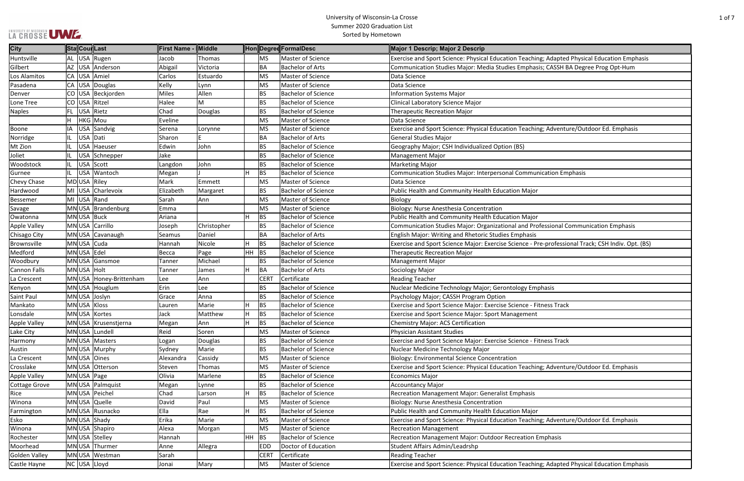|  |  | LA CROSSE UWE |
|--|--|---------------|

| <b>Adapted Physical Education Emphasis</b> |
|--------------------------------------------|
| CASSH BA Degree Prog Opt-Hum               |
|                                            |
|                                            |
|                                            |
|                                            |
|                                            |
|                                            |
|                                            |
|                                            |
| Adventure/Outdoor Ed. Emphasis             |
|                                            |
|                                            |
|                                            |
|                                            |
|                                            |
|                                            |
| ation Emphasis                             |
|                                            |
|                                            |
|                                            |
|                                            |
|                                            |
|                                            |
|                                            |
| ssional Communication Emphasis             |
|                                            |
| professional Track; CSH Indiv. Opt. (BS)   |
|                                            |
|                                            |
|                                            |
|                                            |
|                                            |
|                                            |
| asis                                       |
|                                            |
| ess Track                                  |
|                                            |
|                                            |
|                                            |
|                                            |
|                                            |
| ess Track                                  |
|                                            |
|                                            |
|                                            |
| Adventure/Outdoor Ed. Emphasis             |
|                                            |
|                                            |
|                                            |
|                                            |
|                                            |
|                                            |
|                                            |
| Adventure/Outdoor Ed. Emphasis             |
|                                            |
| phasis                                     |
|                                            |
|                                            |
|                                            |
| <b>Adapted Physical Education Emphasis</b> |
|                                            |

| <b>City</b>          | StalCourLast           | <b>First Name - Middle</b> |             |         |             | Hon Degred Formal Desc     | Major 1 Descrip; Major 2 Descrip                                                                  |
|----------------------|------------------------|----------------------------|-------------|---------|-------------|----------------------------|---------------------------------------------------------------------------------------------------|
| Huntsville           | AL USA Rugen           | Jacob                      | Thomas      |         | MS          | Master of Science          | Exercise and Sport Science: Physical Education Teaching; Adapted Physical Education Emphasis      |
| Gilbert              | AZ USA Anderson        | Abigail                    | Victoria    |         | BA          | <b>Bachelor of Arts</b>    | Communication Studies Major: Media Studies Emphasis; CASSH BA Degree Prog Opt-Hum                 |
| Los Alamitos         | CA USA Amiel           | Carlos                     | Estuardo    |         | <b>MS</b>   | Master of Science          | Data Science                                                                                      |
| Pasadena             | CA USA Douglas         | Kelly                      | Lynn        |         | <b>MS</b>   | Master of Science          | Data Science                                                                                      |
| Denver               | CO USA Beckjorden      | <b>Miles</b>               | Allen       |         | <b>BS</b>   | <b>Bachelor of Science</b> | <b>Information Systems Major</b>                                                                  |
| Lone Tree            | CO USA Ritzel          | Halee                      | M           |         | <b>BS</b>   | <b>Bachelor of Science</b> | Clinical Laboratory Science Major                                                                 |
| <b>Naples</b>        | FL USA Rietz           | Chad                       | Douglas     |         | <b>BS</b>   | <b>Bachelor of Science</b> | <b>Therapeutic Recreation Major</b>                                                               |
|                      | HKG Mou                | Eveline                    |             |         | MS          | Master of Science          | Data Science                                                                                      |
| Boone                | IA   USA   Sandvig     | Serena                     | Lorynne     |         | <b>MS</b>   | Master of Science          | Exercise and Sport Science: Physical Education Teaching; Adventure/Outdoor Ed. Emphasis           |
| Norridge             | USA Dati               | Sharon                     |             |         | BA          | <b>Bachelor of Arts</b>    | <b>General Studies Major</b>                                                                      |
| Mt Zion              | USA Haeuser            | Edwin                      | John        |         | <b>BS</b>   | <b>Bachelor of Science</b> | Geography Major; CSH Individualized Option (BS)                                                   |
| Joliet               | USA Schnepper          | Jake                       |             |         | <b>BS</b>   | <b>Bachelor of Science</b> | <b>Management Major</b>                                                                           |
| Woodstock            | USA Scott              | Langdon                    | John        |         | <b>BS</b>   | <b>Bachelor of Science</b> | <b>Marketing Major</b>                                                                            |
| Gurnee               | USA Wantoch            | Megan                      |             |         | <b>BS</b>   | <b>Bachelor of Science</b> | <b>Communication Studies Major: Interpersonal Communication Emphasis</b>                          |
| Chevy Chase          | MD USA Riley           | Mark                       | Emmett      |         | <b>MS</b>   | Master of Science          | Data Science                                                                                      |
| Hardwood             | MI USA Charlevoix      | Elizabeth                  | Margaret    |         | <b>BS</b>   | <b>Bachelor of Science</b> | Public Health and Community Health Education Major                                                |
| <b>Bessemer</b>      | MI USA Rand            | Sarah                      | Ann         |         | <b>MS</b>   | Master of Science          | Biology                                                                                           |
| Savage               | MN USA   Brandenburg   | Emma                       |             |         | <b>MS</b>   | Master of Science          | Biology: Nurse Anesthesia Concentration                                                           |
| Owatonna             | MN USA Buck            | Ariana                     |             |         | <b>BS</b>   | <b>Bachelor of Science</b> | Public Health and Community Health Education Major                                                |
| <b>Apple Valley</b>  | MN USA Carrillo        | Joseph                     | Christopher |         | <b>BS</b>   | <b>Bachelor of Science</b> | Communication Studies Major: Organizational and Professional Communication Emphasis               |
| Chisago City         | MNUSA Cavanaugh        | Seamus                     | Daniel      |         | BA          | <b>Bachelor of Arts</b>    | English Major: Writing and Rhetoric Studies Emphasis                                              |
| Brownsville          | MNUSA Cuda             | Hannah                     | Nicole      |         | <b>BS</b>   | <b>Bachelor of Science</b> | Exercise and Sport Science Major: Exercise Science - Pre-professional Track; CSH Indiv. Opt. (BS) |
| Medford              | MNUSA Edel             | Becca                      | Page        | $HH$ BS |             | <b>Bachelor of Science</b> | <b>Therapeutic Recreation Major</b>                                                               |
| Woodbury             | MNUSA Gansmoe          | Tanner                     | Michael     |         | <b>BS</b>   | <b>Bachelor of Science</b> | <b>Management Major</b>                                                                           |
| <b>Cannon Falls</b>  | MNUSA Holt             | Tanner                     | James       |         | <b>BA</b>   | <b>Bachelor of Arts</b>    | Sociology Major                                                                                   |
| La Crescent          | MNUSA Honey-Brittenham | Lee                        | Ann         |         | <b>CERT</b> | Certificate                | <b>Reading Teacher</b>                                                                            |
| Kenyon               | MNUSA Houglum          | Erin                       | <b>Lee</b>  |         | <b>BS</b>   | <b>Bachelor of Science</b> | Nuclear Medicine Technology Major; Gerontology Emphasis                                           |
| Saint Paul           | MNUSA Joslyn           | Grace                      | Anna        |         | <b>BS</b>   | <b>Bachelor of Science</b> | Psychology Major; CASSH Program Option                                                            |
| Mankato              | MNUSA Kloss            | Lauren                     | Marie       |         | <b>BS</b>   | <b>Bachelor of Science</b> | Exercise and Sport Science Major: Exercise Science - Fitness Track                                |
| Lonsdale             | MN USA Kortes          | Jack                       | Matthew     |         | <b>BS</b>   | <b>Bachelor of Science</b> | Exercise and Sport Science Major: Sport Management                                                |
| Apple Valley         | MN USA Krusenstjerna   | Megan                      | Ann         |         | <b>BS</b>   | <b>Bachelor of Science</b> | <b>Chemistry Major: ACS Certification</b>                                                         |
| Lake City            | MNUSA Lundell          | Reid                       | Soren       |         | <b>MS</b>   | Master of Science          | <b>Physician Assistant Studies</b>                                                                |
| Harmony              | MN USA Masters         | Logan                      | Douglas     |         | BS          | <b>Bachelor of Science</b> | Exercise and Sport Science Major: Exercise Science - Fitness Track                                |
| Austin               | MN USA Murphy          | Sydney                     | Marie       |         | BS          | <b>Bachelor of Science</b> | Nuclear Medicine Technology Major                                                                 |
| La Crescent          | MNUSA Oines            | Alexandra                  | Cassidy     |         | <b>MS</b>   | Master of Science          | <b>Biology: Environmental Science Concentration</b>                                               |
| Crosslake            | MNUSA Otterson         | Steven                     | Thomas      |         | MS          | Master of Science          | Exercise and Sport Science: Physical Education Teaching; Adventure/Outdoor Ed. Emphasis           |
| Apple Valley         | MNUSA Page             | Olivia                     | Marlene     |         | <b>BS</b>   | <b>Bachelor of Science</b> | <b>Economics Major</b>                                                                            |
| <b>Cottage Grove</b> | MNUSA Palmquist        | Megan                      | Lynne       |         | <b>BS</b>   | <b>Bachelor of Science</b> | <b>Accountancy Major</b>                                                                          |
| Rice                 | MN USA Peichel         | Chad                       | Larson      | lН      | <b>BS</b>   | <b>Bachelor of Science</b> | Recreation Management Major: Generalist Emphasis                                                  |
| Winona               | MNUSA Quelle           | David                      | Paul        |         | MS          | Master of Science          | Biology: Nurse Anesthesia Concentration                                                           |
| Farmington           | MNUSA Rusnacko         | Ella                       | Rae         |         | <b>BS</b>   | <b>Bachelor of Science</b> | Public Health and Community Health Education Major                                                |
| Esko                 | MN USA Shady           | Erika                      | Marie       |         | <b>MS</b>   | Master of Science          | Exercise and Sport Science: Physical Education Teaching; Adventure/Outdoor Ed. Emphasis           |
| Winona               | MNUSA Shapiro          | Alexa                      | Morgan      |         | <b>MS</b>   | Master of Science          | <b>Recreation Management</b>                                                                      |
| Rochester            | MNUSA Stelley          | Hannah                     |             | HH BS   |             | <b>Bachelor of Science</b> | Recreation Management Major: Outdoor Recreation Emphasis                                          |
| Moorhead             | MN USA Thurmer         | Anne                       | Allegra     |         | <b>EDD</b>  | Doctor of Education        | Student Affairs Admin/Leadrshp                                                                    |
| <b>Golden Valley</b> | MNUSA Westman          | Sarah                      |             |         | <b>CERT</b> | Certificate                | <b>Reading Teacher</b>                                                                            |
| Castle Hayne         | NC USA Lloyd           | Jonai                      | Mary        |         | <b>MS</b>   | Master of Science          | Exercise and Sport Science: Physical Education Teaching; Adapted Physical Education Emphasis      |
|                      |                        |                            |             |         |             |                            |                                                                                                   |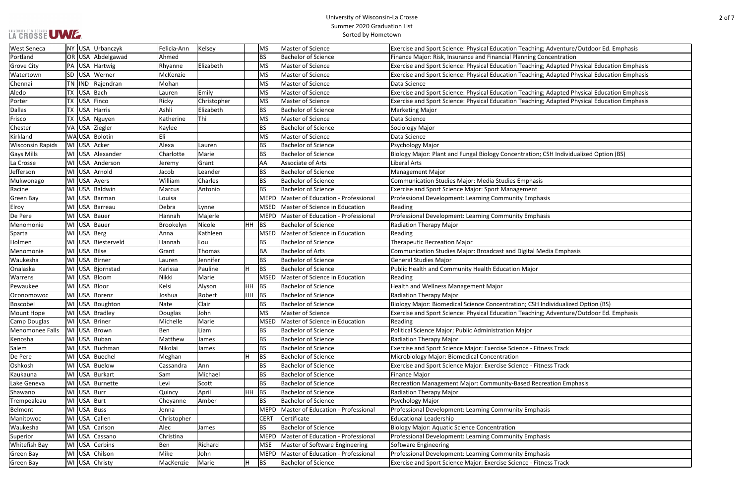| Adventure/Outdoor Ed. Emphasis             |
|--------------------------------------------|
| <b>centration</b>                          |
| <b>Adapted Physical Education Emphasis</b> |
| <b>Adapted Physical Education Emphasis</b> |
|                                            |
| <b>Adapted Physical Education Emphasis</b> |
| <b>Adapted Physical Education Emphasis</b> |
|                                            |
|                                            |
|                                            |
|                                            |
|                                            |
| SH Individualized Option (BS)              |
|                                            |
|                                            |
|                                            |
|                                            |
| is                                         |
|                                            |
| is                                         |
|                                            |
|                                            |
|                                            |
| dia Emphasis                               |
|                                            |
|                                            |
|                                            |
|                                            |
|                                            |
| dividualized Option (BS)                   |
| Adventure/Outdoor Ed. Emphasis             |
|                                            |
|                                            |
|                                            |
| ss Track                                   |
|                                            |
|                                            |
| ss Track                                   |
|                                            |
| ation Emphasis                             |
|                                            |
|                                            |
| is                                         |
|                                            |
|                                            |
| is                                         |
|                                            |
| is                                         |
| ss Track                                   |

| <b>West Seneca</b>      |             | NY USA Urbanczyk     | Felicia-Ann   | Kelsey        |           | MS          | Master of Science                  | Exercise and Sport Science: Physical Education Teaching; Adventure/Outdoor Ed. Emphasis      |
|-------------------------|-------------|----------------------|---------------|---------------|-----------|-------------|------------------------------------|----------------------------------------------------------------------------------------------|
| Portland                |             | OR USA Abdelgawad    | Ahmed         |               |           | <b>BS</b>   | <b>Bachelor of Science</b>         | Finance Major: Risk, Insurance and Financial Planning Concentration                          |
| <b>Grove City</b>       |             | PA USA Hartwig       | Rhyanne       | Elizabeth     |           | <b>MS</b>   | Master of Science                  | Exercise and Sport Science: Physical Education Teaching; Adapted Physical Education Emphasis |
| Watertown               |             | SD   USA   Werner    | McKenzie      |               |           | MS          | Master of Science                  | Exercise and Sport Science: Physical Education Teaching; Adapted Physical Education Emphasis |
| Chennai                 |             | TN   IND   Rajendran | Mohan         |               |           | <b>MS</b>   | Master of Science                  | Data Science                                                                                 |
| Aledo                   |             | TX USA Bach          | Lauren        | Emily         |           | <b>MS</b>   | Master of Science                  | Exercise and Sport Science: Physical Education Teaching; Adapted Physical Education Emphasis |
| Porter                  |             | TX   USA   Finco     | Ricky         | Christopher   |           | <b>MS</b>   | Master of Science                  | Exercise and Sport Science: Physical Education Teaching; Adapted Physical Education Emphasis |
| <b>Dallas</b>           |             | TX   USA   Harris    | Ashli         | Elizabeth     |           | <b>BS</b>   | <b>Bachelor of Science</b>         | <b>Marketing Major</b>                                                                       |
| Frisco                  |             | TX   USA   Nguyen    | Katherine     | Thi           |           | <b>MS</b>   | Master of Science                  | Data Science                                                                                 |
| Chester                 |             | VA USA Ziegler       | Kaylee        |               |           | <b>BS</b>   | <b>Bachelor of Science</b>         | Sociology Major                                                                              |
| Kirkland                |             | WA USA Bolotin       | Eli           |               |           | MS          | Master of Science                  | Data Science                                                                                 |
| <b>Wisconsin Rapids</b> |             | WI USA Acker         | Alexa         | Lauren        |           | <b>BS</b>   | <b>Bachelor of Science</b>         | Psychology Major                                                                             |
| <b>Gays Mills</b>       |             | WI USA Alexander     | Charlotte     | Marie         |           | <b>BS</b>   | <b>Bachelor of Science</b>         | Biology Major: Plant and Fungal Biology Concentration; CSH Individualized Option (BS)        |
| La Crosse               |             | WI USA Anderson      | Jeremy        | Grant         |           | AA          | Associate of Arts                  | Liberal Arts                                                                                 |
| Jefferson               |             | WI USA Arnold        | Jacob         | Leander       |           | <b>BS</b>   | <b>Bachelor of Science</b>         | <b>Management Major</b>                                                                      |
| Mukwonago               |             | WI USA Ayers         | William       | Charles       |           | <b>BS</b>   | <b>Bachelor of Science</b>         | <b>Communication Studies Major: Media Studies Emphasis</b>                                   |
| Racine                  |             | WI USA Baldwin       | <b>Marcus</b> | Antonio       |           | <b>BS</b>   | <b>Bachelor of Science</b>         | <b>Exercise and Sport Science Major: Sport Management</b>                                    |
| Green Bay               |             | WI USA Barman        | Louisa        |               |           | <b>MEPD</b> | Master of Education - Professional | Professional Development: Learning Community Emphasis                                        |
| Elroy                   |             | WI USA Barreau       | Debra         | Lynne         |           | <b>MSED</b> | Master of Science in Education     | Reading                                                                                      |
| De Pere                 |             | WI USA Bauer         | Hannah        | Majerle       |           | <b>MEPD</b> | Master of Education - Professional | Professional Development: Learning Community Emphasis                                        |
| Menomonie               |             | WI USA Bauer         | Brookelyn     | Nicole        | HH.       | <b>BS</b>   | <b>Bachelor of Science</b>         | Radiation Therapy Major                                                                      |
| Sparta                  |             | WI USA Berg          | Anna          | Kathleen      |           | MSED        | Master of Science in Education     | Reading                                                                                      |
| Holmen                  |             | WI USA Biesterveld   | Hannah        | Lou           |           | BS          | <b>Bachelor of Science</b>         | <b>Therapeutic Recreation Major</b>                                                          |
| Menomonie               |             | WI USA Bilse         | Grant         | <b>Thomas</b> |           | BA          | <b>Bachelor of Arts</b>            | Communication Studies Major: Broadcast and Digital Media Emphasis                            |
| Waukesha                |             | WI USA Birner        | Lauren        | Jennifer      |           | <b>BS</b>   | <b>Bachelor of Science</b>         | <b>General Studies Major</b>                                                                 |
| Onalaska                |             | WI USA Bjornstad     | Karissa       | Pauline       |           | <b>BS</b>   | <b>Bachelor of Science</b>         | Public Health and Community Health Education Major                                           |
| Warrens                 |             | WI USA Bloom         | Nikki         | Marie         |           | <b>MSED</b> | Master of Science in Education     | Reading                                                                                      |
| Pewaukee                |             | WI USA Bloor         | Kelsi         | Alyson        | HH        | <b>BS</b>   | <b>Bachelor of Science</b>         | Health and Wellness Management Major                                                         |
| Oconomowoc              |             | WI USA Borenz        | Joshua        | Robert        | <b>HH</b> | <b>BS</b>   | <b>Bachelor of Science</b>         | Radiation Therapy Major                                                                      |
| Boscobel                |             | WI USA Boughton      | Nate          | Clair         |           | BS          | <b>Bachelor of Science</b>         | Biology Major: Biomedical Science Concentration; CSH Individualized Option (BS)              |
| Mount Hope              |             | WI USA Bradley       | Douglas       | John          |           | <b>MS</b>   | Master of Science                  | Exercise and Sport Science: Physical Education Teaching; Adventure/Outdoor Ed. Emphasis      |
| Camp Douglas            |             | WI USA Briner        | Michelle      | Marie         |           | MSED        | Master of Science in Education     | Reading                                                                                      |
| Menomonee Falls         |             | WI USA Brown         | Ben           | Liam          |           | BS          | <b>Bachelor of Science</b>         | Political Science Major; Public Administration Major                                         |
| Kenosha                 |             | WI USA Buban         | Matthew       | James         |           | <b>BS</b>   | <b>Bachelor of Science</b>         | <b>Radiation Therapy Major</b>                                                               |
| Salem                   |             | WI USA Buchman       | Nikolai       | James         |           | <b>BS</b>   | <b>Bachelor of Science</b>         | Exercise and Sport Science Major: Exercise Science - Fitness Track                           |
| De Pere                 |             | WI USA Buechel       | Meghan        |               |           | <b>BS</b>   | <b>Bachelor of Science</b>         | Microbiology Major: Biomedical Concentration                                                 |
| Oshkosh                 |             | WI USA Buelow        | Cassandra     | Ann           |           | BS          | <b>Bachelor of Science</b>         | Exercise and Sport Science Major: Exercise Science - Fitness Track                           |
| Kaukauna                |             | WI USA Burkart       | Sam           | Michael       |           | BS          | <b>Bachelor of Science</b>         | <b>Finance Major</b>                                                                         |
| Lake Geneva             |             | WI USA Burnette      | Levi          | Scott         |           | <b>BS</b>   | <b>Bachelor of Science</b>         | Recreation Management Major: Community-Based Recreation Emphasis                             |
| Shawano                 | WI USA Burr |                      | Quincy        | April         | HH        | <b>BS</b>   | <b>Bachelor of Science</b>         | Radiation Therapy Major                                                                      |
| Trempealeau             | WI USA Burt |                      | Cheyanne      | Amber         |           | BS          | <b>Bachelor of Science</b>         | Psychology Major                                                                             |
| Belmont                 |             | WI USA Buss          | Jenna         |               |           | MEPD        | Master of Education - Professional | Professional Development: Learning Community Emphasis                                        |
| Manitowoc               |             | WI USA Callen        | Christopher   |               |           | <b>CERT</b> | Certificate                        | <b>Educational Leadership</b>                                                                |
| Waukesha                |             | WI USA Carlson       | Alec          | James         |           | ВS          | <b>Bachelor of Science</b>         | <b>Biology Major: Aquatic Science Concentration</b>                                          |
| Superior                |             | WI USA Cassano       | Christina     |               |           | <b>MEPD</b> | Master of Education - Professional | Professional Development: Learning Community Emphasis                                        |
| Whitefish Bay           |             | WI USA Cerbins       | Ben           | Richard       |           | MSE         | Master of Software Engineering     | Software Engineering                                                                         |
| Green Bay               |             | WI USA Chilson       | Mike          | John          |           | MEPD        | Master of Education - Professional | Professional Development: Learning Community Emphasis                                        |
| Green Bay               |             | WI USA Christy       | MacKenzie     | Marie         |           | <b>BS</b>   | <b>Bachelor of Science</b>         | Exercise and Sport Science Major: Exercise Science - Fitness Track                           |
|                         |             |                      |               |               |           |             |                                    |                                                                                              |

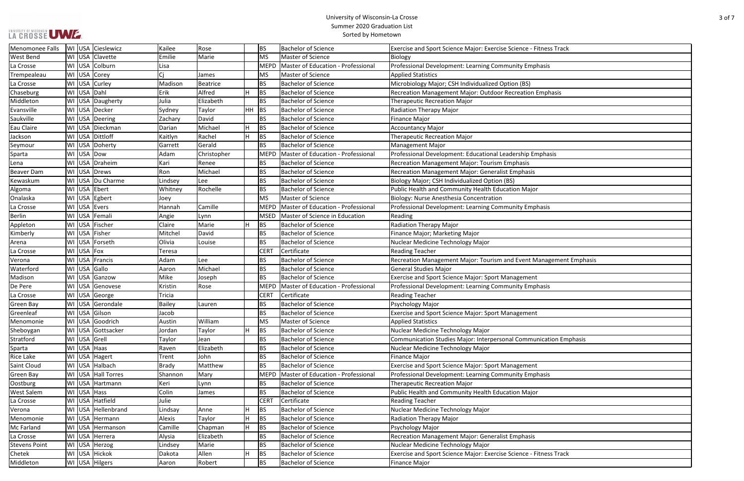| ess Track        |
|------------------|
|                  |
| is               |
|                  |
|                  |
| <b>phasis</b>    |
|                  |
|                  |
|                  |
|                  |
|                  |
|                  |
|                  |
| asis             |
|                  |
|                  |
|                  |
|                  |
|                  |
|                  |
| is               |
|                  |
|                  |
|                  |
|                  |
|                  |
|                  |
| agement Emphasis |
|                  |
|                  |
| is               |
|                  |
|                  |
|                  |
|                  |
|                  |
|                  |
| ation Emphasis   |
|                  |
|                  |
|                  |
| is               |
|                  |
|                  |
|                  |
|                  |
|                  |
|                  |
|                  |
|                  |
|                  |
| ess Track        |
|                  |
|                  |

| Menomonee Falls      |                 | WI USA Cieslewicz  | Kailee        | Rose        |    | <b>BS</b>   | <b>Bachelor of Science</b>         | Exercise and Sport Science Major: Exercise Science - Fitness Track |
|----------------------|-----------------|--------------------|---------------|-------------|----|-------------|------------------------------------|--------------------------------------------------------------------|
| <b>West Bend</b>     |                 | WI USA Clavette    | Emilie        | Marie       |    | MS          | Master of Science                  | Biology                                                            |
| La Crosse            | WI USA Colburn  |                    | Lisa          |             |    | MEPD        | Master of Education - Professional | Professional Development: Learning Community Emphasis              |
| Trempealeau          | WI USA Corey    |                    |               | James       |    | <b>MS</b>   | <b>Master of Science</b>           | <b>Applied Statistics</b>                                          |
| La Crosse            | WI USA Curley   |                    | Madison       | Beatrice    |    | <b>BS</b>   | <b>Bachelor of Science</b>         | Microbiology Major; CSH Individualized Option (BS)                 |
| Chaseburg            | WI USA Dahl     |                    | Erik          | Alfred      | H  | BS          | <b>Bachelor of Science</b>         | Recreation Management Major: Outdoor Recreation Emphasis           |
| Middleton            |                 | WI USA Daugherty   | Julia         | Elizabeth   |    | <b>BS</b>   | <b>Bachelor of Science</b>         | <b>Therapeutic Recreation Major</b>                                |
| Evansville           | WI USA Decker   |                    | Sydney        | Taylor      | HH | BS          | <b>Bachelor of Science</b>         | Radiation Therapy Major                                            |
| Saukville            |                 | WI USA Deering     | Zachary       | David       |    | <b>BS</b>   | <b>Bachelor of Science</b>         | <b>Finance Major</b>                                               |
| Eau Claire           |                 | WI USA Dieckman    | Darian        | Michael     | lн | <b>BS</b>   | <b>Bachelor of Science</b>         | <b>Accountancy Major</b>                                           |
| Jackson              | WI USA Dittloff |                    | Kaitlyn       | Rachel      | H  | BS          | <b>Bachelor of Science</b>         | <b>Therapeutic Recreation Major</b>                                |
| Seymour              |                 | WI USA Doherty     | Garrett       | Gerald      |    | <b>BS</b>   | <b>Bachelor of Science</b>         | <b>Management Major</b>                                            |
| Sparta               | WI USA Dow      |                    | Adam          | Christopher |    | <b>MEPD</b> | Master of Education - Professional | Professional Development: Educational Leadership Emphasis          |
| Lena                 |                 | WI USA Draheim     | Kari          | Renee       |    | <b>BS</b>   | <b>Bachelor of Science</b>         | Recreation Management Major: Tourism Emphasis                      |
| <b>Beaver Dam</b>    | WI USA Drews    |                    | Ron           | Michael     |    | <b>BS</b>   | <b>Bachelor of Science</b>         | <b>Recreation Management Major: Generalist Emphasis</b>            |
| Kewaskum             |                 | WI USA Du Charme   | Lindsey       | lLee        |    | <b>BS</b>   | <b>Bachelor of Science</b>         | Biology Major; CSH Individualized Option (BS)                      |
| Algoma               | WI USA Ebert    |                    | Whitney       | Rochelle    |    | <b>BS</b>   | <b>Bachelor of Science</b>         | Public Health and Community Health Education Major                 |
| Onalaska             | WI USA Egbert   |                    | Joey          |             |    | MS          | Master of Science                  | Biology: Nurse Anesthesia Concentration                            |
| La Crosse            | WI USA Evers    |                    | Hannah        | Camille     |    | MEPD        | Master of Education - Professional | Professional Development: Learning Community Emphasis              |
| <b>Berlin</b>        | WI USA Femali   |                    | Angie         | Lynn        |    | MSED        | Master of Science in Education     | Reading                                                            |
| Appleton             | WI USA Fischer  |                    | Claire        | Marie       | H  | BS          | <b>Bachelor of Science</b>         | Radiation Therapy Major                                            |
| Kimberly             | WI USA Fisher   |                    | Mitchel       | David       |    | <b>BS</b>   | <b>Bachelor of Science</b>         | Finance Major; Marketing Major                                     |
| Arena                | WI USA Forseth  |                    | Olivia        | Louise      |    | <b>BS</b>   | <b>Bachelor of Science</b>         | Nuclear Medicine Technology Major                                  |
| La Crosse            | WI USA Fox      |                    | Teresa        |             |    | <b>CERT</b> | Certificate                        | <b>Reading Teacher</b>                                             |
| Verona               | WI USA Francis  |                    | Adam          | Lee         |    | <b>BS</b>   | <b>Bachelor of Science</b>         | Recreation Management Major: Tourism and Event Management Emphasis |
| Waterford            | WI USA Gallo    |                    | Aaron         | Michael     |    | <b>BS</b>   | <b>Bachelor of Science</b>         | <b>General Studies Major</b>                                       |
| Madison              |                 | WI USA Ganzow      | Mike          | Joseph      |    | <b>BS</b>   | <b>Bachelor of Science</b>         | <b>Exercise and Sport Science Major: Sport Management</b>          |
| De Pere              |                 | WI USA Genovese    | Kristin       | Rose        |    | MEPD        | Master of Education - Professional | Professional Development: Learning Community Emphasis              |
| La Crosse            | WI USA George   |                    | Tricia        |             |    | <b>CERT</b> | Certificate                        | <b>Reading Teacher</b>                                             |
| <b>Green Bay</b>     |                 | WI USA Gerondale   | <b>Bailey</b> | Lauren      |    | <b>BS</b>   | <b>Bachelor of Science</b>         | <b>Psychology Major</b>                                            |
| Greenleaf            | WI USA Gilson   |                    | Jacob         |             |    | <b>BS</b>   | <b>Bachelor of Science</b>         | <b>Exercise and Sport Science Major: Sport Management</b>          |
| Menomonie            |                 | WI USA Goodrich    | Austin        | William     |    | MS          | Master of Science                  | <b>Applied Statistics</b>                                          |
| Sheboygan            |                 | WI USA Gottsacker  | Jordan        | Taylor      | ΙH | BS          | <b>Bachelor of Science</b>         | Nuclear Medicine Technology Major                                  |
| Stratford            | WI USA Grell    |                    | Taylor        | Jean        |    | <b>BS</b>   | <b>Bachelor of Science</b>         | Communication Studies Major: Interpersonal Communication Emphasis  |
| Sparta               | WI USA Haas     |                    | Raven         | Elizabeth   |    | <b>BS</b>   | <b>Bachelor of Science</b>         | Nuclear Medicine Technology Major                                  |
| <b>Rice Lake</b>     | WI USA Hagert   |                    | Trent         | John        |    | <b>BS</b>   | <b>Bachelor of Science</b>         | <b>Finance Major</b>                                               |
| Saint Cloud          |                 | WI USA Halbach     | Brady         | Matthew     |    | <b>BS</b>   | <b>Bachelor of Science</b>         | <b>Exercise and Sport Science Major: Sport Management</b>          |
| <b>Green Bay</b>     |                 | WI USA Hall Torres | Shannon       | Mary        |    | <b>MEPD</b> | Master of Education - Professional | Professional Development: Learning Community Emphasis              |
| Oostburg             |                 | WI USA Hartmann    | Keri          | Lynn        |    | <b>BS</b>   | <b>Bachelor of Science</b>         | <b>Therapeutic Recreation Major</b>                                |
| <b>West Salem</b>    | WI USA Hass     |                    | Colin         | James       |    | <b>BS</b>   | <b>Bachelor of Science</b>         | Public Health and Community Health Education Major                 |
| La Crosse            |                 | WI USA Hatfield    | Julie         |             |    | <b>CERT</b> | Certificate                        | <b>Reading Teacher</b>                                             |
| Verona               |                 | WI USA Hellenbrand | Lindsay       | Anne        | H  | <b>BS</b>   | <b>Bachelor of Science</b>         | Nuclear Medicine Technology Major                                  |
| Menomonie            |                 | WI USA Hermann     | Alexis        | Taylor      | H  | <b>BS</b>   | <b>Bachelor of Science</b>         | Radiation Therapy Major                                            |
| Mc Farland           |                 | WI USA Hermanson   | Camille       | Chapman     | H  | BS          | <b>Bachelor of Science</b>         | Psychology Major                                                   |
| La Crosse            | WI USA Herrera  |                    | Alysia        | Elizabeth   |    | <b>BS</b>   | <b>Bachelor of Science</b>         | Recreation Management Major: Generalist Emphasis                   |
| <b>Stevens Point</b> | WI USA Herzog   |                    | Lindsey       | Marie       |    | <b>BS</b>   | <b>Bachelor of Science</b>         | Nuclear Medicine Technology Major                                  |
| Chetek               | WI USA Hickok   |                    | Dakota        | Allen       | lΗ | BS          | <b>Bachelor of Science</b>         | Exercise and Sport Science Major: Exercise Science - Fitness Track |
| Middleton            | WI USA Hilgers  |                    | Aaron         | Robert      |    | <b>BS</b>   | <b>Bachelor of Science</b>         | Finance Major                                                      |
|                      |                 |                    |               |             |    |             |                                    |                                                                    |

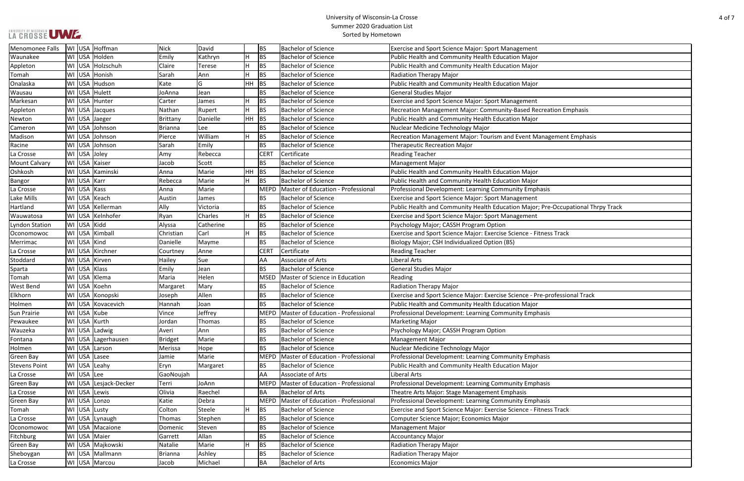| ation Emphasis             |
|----------------------------|
|                            |
|                            |
| agement Emphasis           |
|                            |
|                            |
|                            |
|                            |
|                            |
| is                         |
|                            |
| e-Occupational Thrpy Track |
|                            |
|                            |
|                            |
| ss Track                   |
|                            |
|                            |
|                            |
|                            |
|                            |
|                            |
| professional Track         |
|                            |
| is                         |
|                            |
|                            |
|                            |
|                            |
|                            |
| is                         |
|                            |
|                            |
| is                         |
|                            |
| is                         |
| ss Track                   |
|                            |
|                            |
|                            |
|                            |
|                            |
|                            |
|                            |

| Menomonee Falls      | WI USA Hoffman        | Nick           | David     |     | <b>BS</b>   | <b>Bachelor of Science</b>         | <b>Exercise and Sport Science Major: Sport Management</b>                        |
|----------------------|-----------------------|----------------|-----------|-----|-------------|------------------------------------|----------------------------------------------------------------------------------|
| Waunakee             | WI USA Holden         | Emily          | Kathryn   | н   | <b>BS</b>   | <b>Bachelor of Science</b>         | Public Health and Community Health Education Major                               |
| Appleton             | WI USA Holzschuh      | Claire         | Terese    | H   | <b>BS</b>   | <b>Bachelor of Science</b>         | Public Health and Community Health Education Major                               |
| Tomah                | WI USA Honish         | Sarah          | Ann       |     | <b>BS</b>   | <b>Bachelor of Science</b>         | <b>Radiation Therapy Major</b>                                                   |
| Onalaska             | WI USA Hudson         | Kate           | G         | HH  | <b>BS</b>   | <b>Bachelor of Science</b>         | Public Health and Community Health Education Major                               |
| Wausau               | WI USA Hulett         | JoAnna         | Jean      |     | <b>BS</b>   | <b>Bachelor of Science</b>         | <b>General Studies Major</b>                                                     |
| Markesan             | WI USA Hunter         | Carter         | James     | H   | <b>BS</b>   | <b>Bachelor of Science</b>         | Exercise and Sport Science Major: Sport Management                               |
| Appleton             | WI USA Jacques        | Nathan         | Rupert    | H   | <b>BS</b>   | <b>Bachelor of Science</b>         | Recreation Management Major: Community-Based Recreation Emphasis                 |
| Newton               | WI USA Jaeger         | Brittany       | Danielle  | HH  | <b>BS</b>   | <b>Bachelor of Science</b>         | Public Health and Community Health Education Major                               |
| Cameron              | WI USA Johnson        | Brianna        | Lee       |     | <b>BS</b>   | <b>Bachelor of Science</b>         | Nuclear Medicine Technology Major                                                |
| Madison              | WI USA Johnson        | Pierce         | William   | H   | <b>BS</b>   | <b>Bachelor of Science</b>         | Recreation Management Major: Tourism and Event Management Emphasis               |
| Racine               | WI USA Johnson        | Sarah          | Emily     |     | <b>BS</b>   | <b>Bachelor of Science</b>         | <b>Therapeutic Recreation Major</b>                                              |
| La Crosse            | WI USA Joley          | Amy            | Rebecca   |     | <b>CERT</b> | Certificate                        | <b>Reading Teacher</b>                                                           |
| <b>Mount Calvary</b> | WI USA Kaiser         | Jacob          | Scott     |     | <b>BS</b>   | <b>Bachelor of Science</b>         | <b>Management Major</b>                                                          |
| Oshkosh              | WI USA Kaminski       | Anna           | Marie     | HH. | <b>BS</b>   | <b>Bachelor of Science</b>         | Public Health and Community Health Education Major                               |
| <b>Bangor</b>        | WI USA Karr           | Rebecca        | Marie     | H   | <b>BS</b>   | <b>Bachelor of Science</b>         | Public Health and Community Health Education Major                               |
| La Crosse            | WI USA Kass           | Anna           | Marie     |     | <b>MEPD</b> | Master of Education - Professional | Professional Development: Learning Community Emphasis                            |
| Lake Mills           | WI USA Keach          | Austin         | James     |     | <b>BS</b>   | <b>Bachelor of Science</b>         | <b>Exercise and Sport Science Major: Sport Management</b>                        |
| Hartland             | WI USA Kellerman      | Ally           | Victoria  |     | <b>BS</b>   | <b>Bachelor of Science</b>         | Public Health and Community Health Education Major; Pre-Occupational Thrpy Track |
| Wauwatosa            | WI USA Kelnhofer      | Ryan           | Charles   | H   | <b>BS</b>   | <b>Bachelor of Science</b>         | <b>Exercise and Sport Science Major: Sport Management</b>                        |
| Lyndon Station       | WI USA Kidd           | Alyssa         | Catherine |     | <b>BS</b>   | <b>Bachelor of Science</b>         | Psychology Major; CASSH Program Option                                           |
| Oconomowoc           | WI USA Kimball        | Christian      | Carl      | H   | <b>BS</b>   | <b>Bachelor of Science</b>         | Exercise and Sport Science Major: Exercise Science - Fitness Track               |
| Merrimac             | WI USA Kind           | Danielle       | Mayme     |     | <b>BS</b>   | <b>Bachelor of Science</b>         | Biology Major; CSH Individualized Option (BS)                                    |
| La Crosse            | WI USA Kirchner       | Courtney       | Anne      |     | <b>CER</b>  | Certificate                        | <b>Reading Teacher</b>                                                           |
| Stoddard             | WI USA Kirven         | Hailey         | Sue       |     | AA          | Associate of Arts                  | <b>Liberal Arts</b>                                                              |
| Sparta               | WI USA Klass          | Emily          | Jean      |     | <b>BS</b>   | <b>Bachelor of Science</b>         | <b>General Studies Major</b>                                                     |
| Tomah                | WI USA Klema          | Maria          | Helen     |     | MSED        | Master of Science in Education     | Reading                                                                          |
| <b>West Bend</b>     | WI USA Koehn          | Margaret       | Mary      |     | <b>BS</b>   | <b>Bachelor of Science</b>         | <b>Radiation Therapy Major</b>                                                   |
| Elkhorn              | WI USA Konopski       | Joseph         | Allen     |     | <b>BS</b>   | <b>Bachelor of Science</b>         | Exercise and Sport Science Major: Exercise Science - Pre-professional Track      |
| Holmen               | WI USA Kovacevich     | Hannah         | Joan      |     | <b>BS</b>   | <b>Bachelor of Science</b>         | Public Health and Community Health Education Major                               |
| <b>Sun Prairie</b>   | WI USA Kube           | Vince          | Jeffrey   |     | MEPD        | Master of Education - Professional | Professional Development: Learning Community Emphasis                            |
| Pewaukee             | WI USA Kurth          | Jordan         | Thomas    |     | BS.         | <b>Bachelor of Science</b>         | <b>Marketing Major</b>                                                           |
| Wauzeka              | WI USA Ladwig         | Averi          | Ann       |     | <b>BS</b>   | <b>Bachelor of Science</b>         | Psychology Major; CASSH Program Option                                           |
| Fontana              | WI USA Lagerhausen    | Bridget        | Marie     |     | <b>BS</b>   | <b>Bachelor of Science</b>         | <b>Management Major</b>                                                          |
| Holmen               | WI USA Larson         | Merissa        | Hope      |     | <b>BS</b>   | <b>Bachelor of Science</b>         | Nuclear Medicine Technology Major                                                |
| Green Bay            | WI USA Lasee          | Jamie          | Marie     |     | <b>MEPD</b> | Master of Education - Professional | Professional Development: Learning Community Emphasis                            |
| <b>Stevens Point</b> | WI USA Leahy          | Eryn           | Margaret  |     | <b>BS</b>   | <b>Bachelor of Science</b>         | Public Health and Community Health Education Major                               |
| La Crosse            | WI USA Lee            | GaoNoujah      |           |     | AA          | Associate of Arts                  | Liberal Arts                                                                     |
| <b>Green Bay</b>     | WI USA Lesjack-Decker | Terri          | JoAnn     |     | <b>MEPD</b> | Master of Education - Professional | Professional Development: Learning Community Emphasis                            |
| La Crosse            | WI USA Lewis          | Olivia         | Raechel   |     | BA          | <b>Bachelor of Arts</b>            | Theatre Arts Major: Stage Management Emphasis                                    |
| Green Bay            | WI USA Lonzo          | Katie          | Debra     |     | MEPD        | Master of Education - Professional | Professional Development: Learning Community Emphasis                            |
| Tomah                | WI USA Lusty          | Colton         | Steele    | н   | <b>BS</b>   | <b>Bachelor of Science</b>         | Exercise and Sport Science Major: Exercise Science - Fitness Track               |
| La Crosse            | WI USA Lynaugh        | Thomas         | Stephen   |     | <b>BS</b>   | <b>Bachelor of Science</b>         | Computer Science Major; Economics Major                                          |
| Oconomowoc           | WI USA Macaione       | Domenic        | Steven    |     | <b>BS</b>   | <b>Bachelor of Science</b>         | <b>Management Major</b>                                                          |
| Fitchburg            | WI USA Maier          | Garrett        | Allan     |     | <b>BS</b>   | <b>Bachelor of Science</b>         | <b>Accountancy Major</b>                                                         |
| Green Bay            | WI USA Majkowski      | Natalie        | Marie     | H   | <b>BS</b>   | <b>Bachelor of Science</b>         | <b>Radiation Therapy Major</b>                                                   |
| Sheboygan            | WI USA Mallmann       | <b>Brianna</b> | Ashley    |     | <b>BS</b>   | <b>Bachelor of Science</b>         | Radiation Therapy Major                                                          |
| La Crosse            | WI USA Marcou         | Jacob          | Michael   |     | <b>BA</b>   | <b>Bachelor of Arts</b>            | <b>Economics Major</b>                                                           |
|                      |                       |                |           |     |             |                                    |                                                                                  |

UNIVERSITY OF WISCONSIN UW E.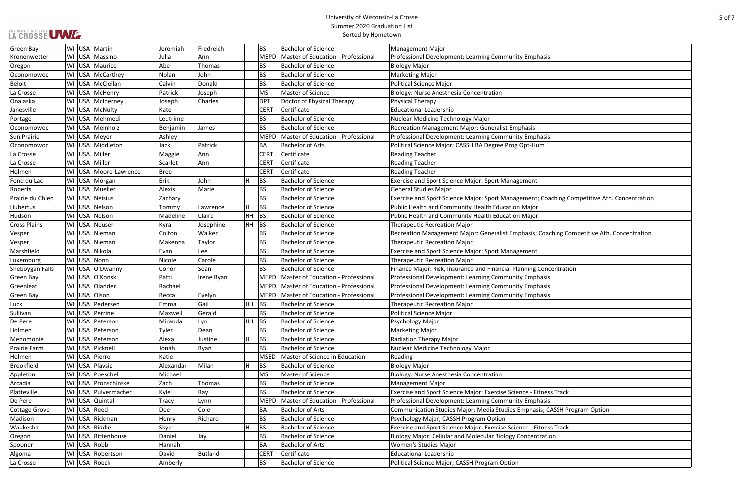| 5 of 7 |
|--------|
|        |
|        |
|        |

| is                                     |
|----------------------------------------|
|                                        |
|                                        |
|                                        |
|                                        |
|                                        |
|                                        |
|                                        |
|                                        |
|                                        |
| is                                     |
|                                        |
|                                        |
|                                        |
|                                        |
|                                        |
|                                        |
| baching Competitive Ath. Concentration |
|                                        |
|                                        |
|                                        |
|                                        |
| aching Competitive Ath. Concentration  |
|                                        |
|                                        |
|                                        |
| ncentration                            |
| is                                     |
| is                                     |
| is                                     |
|                                        |
|                                        |
|                                        |
|                                        |
|                                        |
|                                        |
|                                        |
|                                        |
|                                        |
|                                        |
|                                        |
| ess Track                              |
| is                                     |
| <b>CASSH Program Option</b>            |
|                                        |
|                                        |
| ess Track                              |
| tion                                   |
|                                        |
|                                        |
|                                        |

| <b>Green Bay</b>     | WI USA Martin         | Jeremiah     | Fredreich  |         | <b>BS</b>   | <b>Bachelor of Science</b>         | <b>Management Major</b>                                                                     |
|----------------------|-----------------------|--------------|------------|---------|-------------|------------------------------------|---------------------------------------------------------------------------------------------|
| Kronenwetter         | WI USA Massino        | Julia        | lAnn       |         | MEPD        | Master of Education - Professional | Professional Development: Learning Community Emphasis                                       |
| Oregon               | WI USA Maurice        | Abe          | Thomas     |         | <b>BS</b>   | <b>Bachelor of Science</b>         | <b>Biology Major</b>                                                                        |
| Oconomowoc           | WI USA McCarthey      | Nolan        | John       |         | <b>BS</b>   | <b>Bachelor of Science</b>         | <b>Marketing Major</b>                                                                      |
| <b>Beloit</b>        | WI USA McClellan      | Calvin       | Donald     |         | <b>BS</b>   | <b>Bachelor of Science</b>         | <b>Political Science Major</b>                                                              |
| La Crosse            | WI USA McHenry        | Patrick      | Joseph     |         | <b>MS</b>   | Master of Science                  | Biology: Nurse Anesthesia Concentration                                                     |
| Onalaska             | WI USA McInerney      | Joseph       | Charles    |         | <b>DPT</b>  | Doctor of Physical Therapy         | <b>Physical Therapy</b>                                                                     |
| Janesville           | WI USA McNulty        | Kate         |            |         | <b>CERT</b> | Certificate                        | <b>Educational Leadership</b>                                                               |
| Portage              | WI USA Mehmedi        | Leutrime     |            |         | <b>BS</b>   | <b>Bachelor of Science</b>         | Nuclear Medicine Technology Major                                                           |
| Oconomowoc           | WI USA Meinholz       | Benjamin     | James      |         | <b>BS</b>   | <b>Bachelor of Science</b>         | Recreation Management Major: Generalist Emphasis                                            |
| Sun Prairie          | WI USA Meyer          | Ashley       |            |         | <b>MEPD</b> | Master of Education - Professional | Professional Development: Learning Community Emphasis                                       |
| Oconomowoc           | WI USA Middleton      | Jack         | Patrick    |         | <b>BA</b>   | <b>Bachelor of Arts</b>            | Political Science Major; CASSH BA Degree Prog Opt-Hum                                       |
| La Crosse            | WI USA Miller         | Maggie       | Ann        |         | <b>CERT</b> | Certificate                        | <b>Reading Teacher</b>                                                                      |
| La Crosse            | WI USA Miller         | Scarlet      | Ann        |         | <b>CERT</b> | Certificate                        | <b>Reading Teacher</b>                                                                      |
| Holmen               | WI USA Moore-Lawrence | Bree         |            |         | <b>CERT</b> | Certificate                        | <b>Reading Teacher</b>                                                                      |
| Fond du Lac          | WI USA Morgan         | Erik         | John       |         | BS          | Bachelor of Science                | Exercise and Sport Science Major: Sport Management                                          |
| Roberts              | WI USA Mueller        | Alexis       | Marie      |         | <b>BS</b>   | <b>Bachelor of Science</b>         | <b>General Studies Major</b>                                                                |
| Prairie du Chien     | WI USA Neisius        | Zachary      |            |         | <b>BS</b>   | <b>Bachelor of Science</b>         | Exercise and Sport Science Major: Sport Management; Coaching Competitive Ath. Concentratior |
| <b>Hubertus</b>      | WI USA Nelson         | Tommy        | Lawrence   |         | <b>BS</b>   | <b>Bachelor of Science</b>         | Public Health and Community Health Education Major                                          |
| Hudson               | WI USA Nelson         | Madeline     | Claire     | HH      | BS          | <b>Bachelor of Science</b>         | Public Health and Community Health Education Major                                          |
| <b>Cross Plains</b>  | WI USA Neuser         | Kyra         | Josephine  | $HH$ BS |             | <b>Bachelor of Science</b>         | <b>Therapeutic Recreation Major</b>                                                         |
| Vesper               | WI USA Nieman         | Colton       | Walker     |         | l BS        | <b>Bachelor of Science</b>         | Recreation Management Major: Generalist Emphasis; Coaching Competitive Ath. Concentration   |
| Vesper               | WI USA Nieman         | Makenna      | Taylor     |         | <b>BS</b>   | <b>Bachelor of Science</b>         | <b>Therapeutic Recreation Major</b>                                                         |
| Marshfield           | WI USA Nikolai        | Evan         | Lee        |         | <b>BS</b>   | <b>Bachelor of Science</b>         | <b>Exercise and Sport Science Major: Sport Management</b>                                   |
| Luxemburg            | WI USA Nonn           | Nicole       | Carole     |         | <b>BS</b>   | <b>Bachelor of Science</b>         | <b>Therapeutic Recreation Major</b>                                                         |
| Sheboygan Falls      | WI USA O'Dwanny       | Conor        | Sean       |         | <b>BS</b>   | <b>Bachelor of Science</b>         | Finance Major: Risk, Insurance and Financial Planning Concentration                         |
| Green Bay            | WI USA O'Konski       | Patti        | Irene Ryan |         | <b>MEPD</b> | Master of Education - Professional | Professional Development: Learning Community Emphasis                                       |
| Greenleaf            | WI USA Olander        | Rachael      |            |         | MEPD        | Master of Education - Professional | Professional Development: Learning Community Emphasis                                       |
| <b>Green Bay</b>     | WI USA Olson          | Becca        | Evelyn     |         | MEPD        | Master of Education - Professional | Professional Development: Learning Community Emphasis                                       |
| Luck                 | WI USA Pedersen       | Emma         | Gail       | HH      | BS          | <b>Bachelor of Science</b>         | <b>Therapeutic Recreation Major</b>                                                         |
| Sullivan             | WI USA Perrine        | Maxwell      | Gerald     |         | <b>BS</b>   | <b>Bachelor of Science</b>         | <b>Political Science Major</b>                                                              |
| De Pere              | WI USA Peterson       | Miranda      | Lyn        | $HH$ BS |             | <b>Bachelor of Science</b>         | Psychology Major                                                                            |
| Holmen               | WI USA Peterson       | Tyler        | Dean       |         | <b>BS</b>   | <b>Bachelor of Science</b>         | <b>Marketing Major</b>                                                                      |
| Menomonie            | WI USA Peterson       | Alexa        | Justine    | H       | BS          | <b>Bachelor of Science</b>         | Radiation Therapy Major                                                                     |
| Prairie Farm         | WI USA Picknell       | Jonah        | Ryan       |         | BS          | <b>Bachelor of Science</b>         | Nuclear Medicine Technology Major                                                           |
| Holmen               | WI USA Pierre         | Katie        |            |         | <b>MSED</b> | Master of Science in Education     | Reading                                                                                     |
| <b>Brookfield</b>    | WI USA Plavsic        | Alexandar    | Milan      |         | BS          | <b>Bachelor of Science</b>         | <b>Biology Major</b>                                                                        |
| Appleton             | WI USA Poeschel       | Michael      |            |         | MS          | Master of Science                  | Biology: Nurse Anesthesia Concentration                                                     |
| Arcadia              | WI USA Pronschinske   | Zach         | Thomas     |         | <b>BS</b>   | <b>Bachelor of Science</b>         | <b>Management Major</b>                                                                     |
| Platteville          | WI USA Pulvermacher   | Kyle         | Ray        |         | <b>BS</b>   | <b>Bachelor of Science</b>         | Exercise and Sport Science Major: Exercise Science - Fitness Track                          |
| De Pere              | WI USA Quintal        | <b>Tracy</b> | Lynn       |         | MEPD        | Master of Education - Professional | Professional Development: Learning Community Emphasis                                       |
| <b>Cottage Grove</b> | WI USA Reed           | Dee          | Cole       |         | BA          | Bachelor of Arts                   | Communication Studies Major: Media Studies Emphasis; CASSH Program Option                   |
| Madison              | WI USA Rickman        | Henry        | Richard    |         | <b>BS</b>   | <b>Bachelor of Science</b>         | Psychology Major; CASSH Program Option                                                      |
| Waukesha             | WI USA Riddle         | Skye         |            |         | BS          | <b>Bachelor of Science</b>         | Exercise and Sport Science Major: Exercise Science - Fitness Track                          |
| Oregon               | WI USA Rittenhouse    | Daniel       | Jay        |         | <b>BS</b>   | <b>Bachelor of Science</b>         | Biology Major: Cellular and Molecular Biology Concentration                                 |
| Spooner              | WI USA Robb           | Hannah       |            |         | BA          | <b>Bachelor of Arts</b>            | Women's Studies Major                                                                       |
| Algoma               | WI USA Robertson      | David        | Butland    |         | <b>CERT</b> | Certificate                        | <b>Educational Leadership</b>                                                               |
| La Crosse            | WI USA Roeck          | Amberly      |            |         | <b>BS</b>   | <b>Bachelor of Science</b>         | Political Science Major; CASSH Program Option                                               |
|                      |                       |              |            |         |             |                                    |                                                                                             |

UNIVERSITY OF WISCONSIN UW E.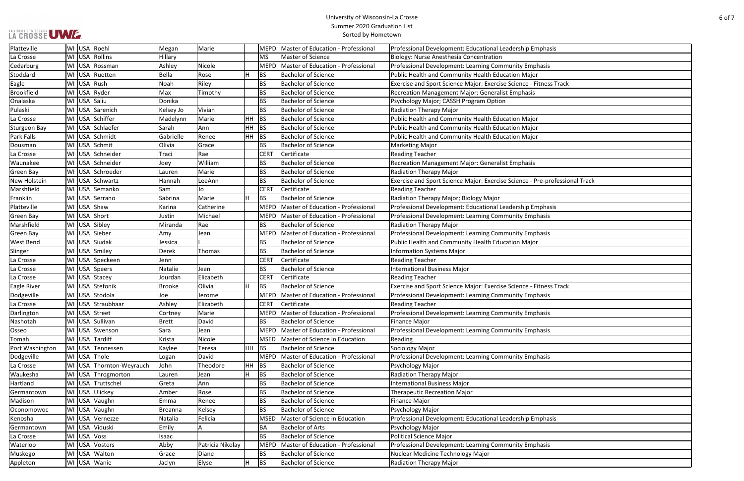| asis               |
|--------------------|
|                    |
| is                 |
|                    |
| ss Track           |
|                    |
|                    |
|                    |
|                    |
|                    |
|                    |
|                    |
|                    |
|                    |
|                    |
| professional Track |
|                    |
|                    |
| asis               |
| is                 |
|                    |
| is                 |
|                    |
|                    |
|                    |
|                    |
| ss Track           |
| is                 |
|                    |
| is                 |
|                    |
| is                 |
|                    |
|                    |
| is                 |
|                    |
|                    |
|                    |
|                    |
|                    |
|                    |
| asis               |
|                    |
|                    |
| is                 |
|                    |
|                    |
|                    |

| WI USA Roehl<br>Platteville<br>Marie<br>Master of Education - Professional<br>Professional Development: Educational Leadership Emphasis<br>Megan<br><b>MEPD</b><br>WI USA Rollins<br>Hillary<br>Master of Science<br>Biology: Nurse Anesthesia Concentration<br>La Crosse<br><b>MS</b><br>Nicole<br>Cedarburg<br>WI USA Rossman<br>Ashley<br>Master of Education - Professional<br>Professional Development: Learning Community Emphasis<br><b>MEPD</b><br>Stoddard<br>WI USA Ruetten<br>Bella<br><b>BS</b><br><b>Bachelor of Science</b><br>Public Health and Community Health Education Major<br>Rose<br>Eagle<br>WI USA Rush<br>Riley<br><b>BS</b><br><b>Bachelor of Science</b><br>Noah<br>Exercise and Sport Science Major: Exercise Science - Fitness Track<br><b>Brookfield</b><br><b>BS</b><br>WI USA Ryder<br>Max<br>Timothy<br><b>Bachelor of Science</b><br>Recreation Management Major: Generalist Emphasis<br>WI USA Saliu<br><b>BS</b><br>Onalaska<br>Donika<br><b>Bachelor of Science</b><br>Psychology Major; CASSH Program Option<br>Vivian<br>Pulaski<br>WI USA Sarenich<br><b>BS</b><br><b>Bachelor of Science</b><br>Kelsey Jo<br>Radiation Therapy Major<br>WI USA Schiffer<br>BS<br>Marie<br><b>HH</b><br><b>Bachelor of Science</b><br>Public Health and Community Health Education Major<br>La Crosse<br>Madelynn<br>WI USA Schlaefer<br>Sarah<br><b>HH</b><br> BS<br>Public Health and Community Health Education Major<br><b>Bachelor of Science</b><br><b>Sturgeon Bay</b><br>Ann<br>BS<br><b>Park Falls</b><br>WI USA Schmidt<br>Gabrielle<br>HH<br><b>Bachelor of Science</b><br>Public Health and Community Health Education Major<br>Renee<br>WI USA Schmit<br><b>BS</b><br>Olivia<br><b>Bachelor of Science</b><br>Grace<br><b>Marketing Major</b><br>Dousman<br>WI USA Schneider<br>Rae<br><b>CERT</b><br>Certificate<br>La Crosse<br><b>Reading Teacher</b><br>Traci<br>WI USA Schneider<br><b>BS</b><br>William<br><b>Bachelor of Science</b><br><b>Recreation Management Major: Generalist Emphasis</b><br>Waunakee<br>Joey<br>WI USA Schroeder<br>Marie<br><b>BS</b><br><b>Bachelor of Science</b><br>Green Bay<br>Radiation Therapy Major<br>Lauren<br><b>BS</b><br>New Holstein<br>WI USA Schwartz<br><b>Bachelor of Science</b><br>Exercise and Sport Science Major: Exercise Science - Pre-professional Track<br>Hannah<br>LeeAnn<br>Certificate<br>Marshfield<br>WI USA Semanko<br><b>CERT</b><br><b>Reading Teacher</b><br>Sam<br>Jo<br>Franklin<br>WI USA Serrano<br>Marie<br>BS<br><b>Bachelor of Science</b><br>Radiation Therapy Major; Biology Major<br>Sabrina<br>WI USA Shaw<br>Platteville<br>Catherine<br><b>MEPD</b><br>Master of Education - Professional<br>Professional Development: Educational Leadership Emphasis<br>Karina<br>WI USA Short<br>Michael<br>Green Bay<br><b>MEPD</b><br>Master of Education - Professional<br>Professional Development: Learning Community Emphasis<br>Justin<br><b>BS</b><br>Marshfield<br>WI USA Sibley<br>Rae<br><b>Bachelor of Science</b><br>Miranda<br><b>Radiation Therapy Major</b><br>WI USA Sieber<br><b>MEPD</b><br>Master of Education - Professional<br>Professional Development: Learning Community Emphasis<br>Green Bay<br>Amy<br>Jean<br>WI USA Siudak<br><b>BS</b><br>West Bend<br><b>Bachelor of Science</b><br>Public Health and Community Health Education Major<br>Jessica<br>WI USA Smiley<br><b>BS</b><br><b>Bachelor of Science</b><br><b>Derek</b><br>Thomas<br><b>Information Systems Major</b><br>Slinger<br>Certificate<br>WI USA Speckeen<br><b>CERT</b><br>La Crosse<br><b>Reading Teacher</b><br>Jenn<br><b>BS</b><br>WI USA Speers<br>Natalie<br><b>Bachelor of Science</b><br>International Business Major<br>La Crosse<br>Jean<br>Elizabeth<br>Certificate<br>WI USA Stacey<br><b>CERT</b><br><b>Reading Teacher</b><br>La Crosse<br>Jourdan<br>WI USA Stefonik<br>Olivia<br><b>BS</b><br><b>Bachelor of Science</b><br>Exercise and Sport Science Major: Exercise Science - Fitness Track<br>Eagle River<br><b>Brooke</b><br>WI USA Stodola<br>Dodgeville<br><b>MEPD</b><br>Master of Education - Professional<br>Professional Development: Learning Community Emphasis<br>Joe<br>Jerome<br>WI USA Straubhaar<br>Ashley<br>Elizabeth<br><b>CERT</b><br>Certificate<br>La Crosse<br><b>Reading Teacher</b><br>Darlington<br>WI USA Street<br>Marie<br>Master of Education - Professional<br>Professional Development: Learning Community Emphasis<br>Cortney<br><b>MEPD</b><br>David<br>Nashotah<br>WI USA Sullivan<br>Brett<br><b>BS</b><br><b>Bachelor of Science</b><br>Finance Major<br>Master of Education - Professional<br>Osseo<br>WI USA Swenson<br> Sara<br>Professional Development: Learning Community Emphasis<br><b>MEPD</b><br>Jean<br>WI USA Tardiff<br>Nicole<br>Krista<br>Master of Science in Education<br>Reading<br>Tomah<br><b>MSED</b><br>BS<br><b>Bachelor of Science</b><br>WI USA Tennessen<br><b>HH</b><br>Sociology Major<br>Port Washington<br>Kaylee<br>Teresa<br>Master of Education - Professional<br>Dodgeville<br>WI USA Thole<br>David<br><b>MEPD</b><br>Professional Development: Learning Community Emphasis<br>Logan<br>WI USA Thornton-Weyrauch<br>La Crosse<br>Theodore<br>HH<br>BS<br><b>Bachelor of Science</b><br>John<br>Psychology Major<br>BS<br>Radiation Therapy Major<br>Waukesha<br>WI USA Throgmorton<br>Н<br><b>Bachelor of Science</b><br>Lauren<br>Jean<br>WI USA Truttschel<br>Greta<br><b>BS</b><br><b>Bachelor of Science</b><br>International Business Major<br>Hartland<br>Ann<br><b>BS</b><br>WI USA Ulickey<br>Amber<br><b>Bachelor of Science</b><br><b>Therapeutic Recreation Major</b><br>Rose<br>Germantown<br>WI USA Vaughn<br>BS<br><b>Bachelor of Science</b><br>Madison<br>Emma<br>Renee<br>Finance Major<br><b>BS</b><br><b>Bachelor of Science</b><br>WI USA Vaughn<br>Psychology Major<br>Kelsey<br>Oconomowoc<br>Breanna<br>WI USA Vernezze<br>Felicia<br>Master of Science in Education<br>Kenosha<br>Natalia<br>Professional Development: Educational Leadership Emphasis<br><b>MSED</b><br>WI USA Viduski<br>BA<br>Emily<br><b>Bachelor of Arts</b><br>Psychology Major<br>Germantown<br>Α<br>WI USA Voss<br><b>Bachelor of Science</b><br><b>BS</b><br>Political Science Major<br>La Crosse<br>Isaac<br>Abby<br>Waterloo<br>WI USA Vosters<br>Patricia Nikolay<br>Master of Education - Professional<br>Professional Development: Learning Community Emphasis<br><b>MEPD</b><br><b>BS</b><br>Muskego<br>WI USA Walton<br>Grace<br>Diane<br><b>Bachelor of Science</b><br>Nuclear Medicine Technology Major<br>Elyse<br><b>BS</b><br>WI USA Wanie<br><b>Bachelor of Science</b><br>Appleton<br>Radiation Therapy Major<br>Jaclyn | LA CROSSE UWE |  |  |  | SUIIIIIEI ZUZU GIAUUALIUII LISL<br>Sorted by Hometown |  |  |  |  |
|------------------------------------------------------------------------------------------------------------------------------------------------------------------------------------------------------------------------------------------------------------------------------------------------------------------------------------------------------------------------------------------------------------------------------------------------------------------------------------------------------------------------------------------------------------------------------------------------------------------------------------------------------------------------------------------------------------------------------------------------------------------------------------------------------------------------------------------------------------------------------------------------------------------------------------------------------------------------------------------------------------------------------------------------------------------------------------------------------------------------------------------------------------------------------------------------------------------------------------------------------------------------------------------------------------------------------------------------------------------------------------------------------------------------------------------------------------------------------------------------------------------------------------------------------------------------------------------------------------------------------------------------------------------------------------------------------------------------------------------------------------------------------------------------------------------------------------------------------------------------------------------------------------------------------------------------------------------------------------------------------------------------------------------------------------------------------------------------------------------------------------------------------------------------------------------------------------------------------------------------------------------------------------------------------------------------------------------------------------------------------------------------------------------------------------------------------------------------------------------------------------------------------------------------------------------------------------------------------------------------------------------------------------------------------------------------------------------------------------------------------------------------------------------------------------------------------------------------------------------------------------------------------------------------------------------------------------------------------------------------------------------------------------------------------------------------------------------------------------------------------------------------------------------------------------------------------------------------------------------------------------------------------------------------------------------------------------------------------------------------------------------------------------------------------------------------------------------------------------------------------------------------------------------------------------------------------------------------------------------------------------------------------------------------------------------------------------------------------------------------------------------------------------------------------------------------------------------------------------------------------------------------------------------------------------------------------------------------------------------------------------------------------------------------------------------------------------------------------------------------------------------------------------------------------------------------------------------------------------------------------------------------------------------------------------------------------------------------------------------------------------------------------------------------------------------------------------------------------------------------------------------------------------------------------------------------------------------------------------------------------------------------------------------------------------------------------------------------------------------------------------------------------------------------------------------------------------------------------------------------------------------------------------------------------------------------------------------------------------------------------------------------------------------------------------------------------------------------------------------------------------------------------------------------------------------------------------------------------------------------------------------------------------------------------------------------------------------------------------------------------------------------------------------------------------------------------------------------------------------------------------------------------------------------------------------------------------------------------------------------------------------------------------------------------------------------------------------------------------------------------------------------------------------------------------------------------------------------------------------------------------------------------------------------------------------------------------------------------------------------------------------------------------------------------------------------------------------------------------------------------------------------------------------------------------------------------------------------------------------------------------------------------------------------------------------------------------------------------------------------------------------------------------------------------------------------------------------------------------------------------------------------------------------------------------------------------------------------------------------------------------------------------------------------------------------------------------------------------------------|---------------|--|--|--|-------------------------------------------------------|--|--|--|--|
|                                                                                                                                                                                                                                                                                                                                                                                                                                                                                                                                                                                                                                                                                                                                                                                                                                                                                                                                                                                                                                                                                                                                                                                                                                                                                                                                                                                                                                                                                                                                                                                                                                                                                                                                                                                                                                                                                                                                                                                                                                                                                                                                                                                                                                                                                                                                                                                                                                                                                                                                                                                                                                                                                                                                                                                                                                                                                                                                                                                                                                                                                                                                                                                                                                                                                                                                                                                                                                                                                                                                                                                                                                                                                                                                                                                                                                                                                                                                                                                                                                                                                                                                                                                                                                                                                                                                                                                                                                                                                                                                                                                                                                                                                                                                                                                                                                                                                                                                                                                                                                                                                                                                                                                                                                                                                                                                                                                                                                                                                                                                                                                                                                                                                                                                                                                                                                                                                                                                                                                                                                                                                                                                                                                                                                                                                                                                                                                                                                                                                                                                                                                                                                                                                                                                          |               |  |  |  |                                                       |  |  |  |  |
|                                                                                                                                                                                                                                                                                                                                                                                                                                                                                                                                                                                                                                                                                                                                                                                                                                                                                                                                                                                                                                                                                                                                                                                                                                                                                                                                                                                                                                                                                                                                                                                                                                                                                                                                                                                                                                                                                                                                                                                                                                                                                                                                                                                                                                                                                                                                                                                                                                                                                                                                                                                                                                                                                                                                                                                                                                                                                                                                                                                                                                                                                                                                                                                                                                                                                                                                                                                                                                                                                                                                                                                                                                                                                                                                                                                                                                                                                                                                                                                                                                                                                                                                                                                                                                                                                                                                                                                                                                                                                                                                                                                                                                                                                                                                                                                                                                                                                                                                                                                                                                                                                                                                                                                                                                                                                                                                                                                                                                                                                                                                                                                                                                                                                                                                                                                                                                                                                                                                                                                                                                                                                                                                                                                                                                                                                                                                                                                                                                                                                                                                                                                                                                                                                                                                          |               |  |  |  |                                                       |  |  |  |  |
|                                                                                                                                                                                                                                                                                                                                                                                                                                                                                                                                                                                                                                                                                                                                                                                                                                                                                                                                                                                                                                                                                                                                                                                                                                                                                                                                                                                                                                                                                                                                                                                                                                                                                                                                                                                                                                                                                                                                                                                                                                                                                                                                                                                                                                                                                                                                                                                                                                                                                                                                                                                                                                                                                                                                                                                                                                                                                                                                                                                                                                                                                                                                                                                                                                                                                                                                                                                                                                                                                                                                                                                                                                                                                                                                                                                                                                                                                                                                                                                                                                                                                                                                                                                                                                                                                                                                                                                                                                                                                                                                                                                                                                                                                                                                                                                                                                                                                                                                                                                                                                                                                                                                                                                                                                                                                                                                                                                                                                                                                                                                                                                                                                                                                                                                                                                                                                                                                                                                                                                                                                                                                                                                                                                                                                                                                                                                                                                                                                                                                                                                                                                                                                                                                                                                          |               |  |  |  |                                                       |  |  |  |  |
|                                                                                                                                                                                                                                                                                                                                                                                                                                                                                                                                                                                                                                                                                                                                                                                                                                                                                                                                                                                                                                                                                                                                                                                                                                                                                                                                                                                                                                                                                                                                                                                                                                                                                                                                                                                                                                                                                                                                                                                                                                                                                                                                                                                                                                                                                                                                                                                                                                                                                                                                                                                                                                                                                                                                                                                                                                                                                                                                                                                                                                                                                                                                                                                                                                                                                                                                                                                                                                                                                                                                                                                                                                                                                                                                                                                                                                                                                                                                                                                                                                                                                                                                                                                                                                                                                                                                                                                                                                                                                                                                                                                                                                                                                                                                                                                                                                                                                                                                                                                                                                                                                                                                                                                                                                                                                                                                                                                                                                                                                                                                                                                                                                                                                                                                                                                                                                                                                                                                                                                                                                                                                                                                                                                                                                                                                                                                                                                                                                                                                                                                                                                                                                                                                                                                          |               |  |  |  |                                                       |  |  |  |  |
|                                                                                                                                                                                                                                                                                                                                                                                                                                                                                                                                                                                                                                                                                                                                                                                                                                                                                                                                                                                                                                                                                                                                                                                                                                                                                                                                                                                                                                                                                                                                                                                                                                                                                                                                                                                                                                                                                                                                                                                                                                                                                                                                                                                                                                                                                                                                                                                                                                                                                                                                                                                                                                                                                                                                                                                                                                                                                                                                                                                                                                                                                                                                                                                                                                                                                                                                                                                                                                                                                                                                                                                                                                                                                                                                                                                                                                                                                                                                                                                                                                                                                                                                                                                                                                                                                                                                                                                                                                                                                                                                                                                                                                                                                                                                                                                                                                                                                                                                                                                                                                                                                                                                                                                                                                                                                                                                                                                                                                                                                                                                                                                                                                                                                                                                                                                                                                                                                                                                                                                                                                                                                                                                                                                                                                                                                                                                                                                                                                                                                                                                                                                                                                                                                                                                          |               |  |  |  |                                                       |  |  |  |  |
|                                                                                                                                                                                                                                                                                                                                                                                                                                                                                                                                                                                                                                                                                                                                                                                                                                                                                                                                                                                                                                                                                                                                                                                                                                                                                                                                                                                                                                                                                                                                                                                                                                                                                                                                                                                                                                                                                                                                                                                                                                                                                                                                                                                                                                                                                                                                                                                                                                                                                                                                                                                                                                                                                                                                                                                                                                                                                                                                                                                                                                                                                                                                                                                                                                                                                                                                                                                                                                                                                                                                                                                                                                                                                                                                                                                                                                                                                                                                                                                                                                                                                                                                                                                                                                                                                                                                                                                                                                                                                                                                                                                                                                                                                                                                                                                                                                                                                                                                                                                                                                                                                                                                                                                                                                                                                                                                                                                                                                                                                                                                                                                                                                                                                                                                                                                                                                                                                                                                                                                                                                                                                                                                                                                                                                                                                                                                                                                                                                                                                                                                                                                                                                                                                                                                          |               |  |  |  |                                                       |  |  |  |  |
|                                                                                                                                                                                                                                                                                                                                                                                                                                                                                                                                                                                                                                                                                                                                                                                                                                                                                                                                                                                                                                                                                                                                                                                                                                                                                                                                                                                                                                                                                                                                                                                                                                                                                                                                                                                                                                                                                                                                                                                                                                                                                                                                                                                                                                                                                                                                                                                                                                                                                                                                                                                                                                                                                                                                                                                                                                                                                                                                                                                                                                                                                                                                                                                                                                                                                                                                                                                                                                                                                                                                                                                                                                                                                                                                                                                                                                                                                                                                                                                                                                                                                                                                                                                                                                                                                                                                                                                                                                                                                                                                                                                                                                                                                                                                                                                                                                                                                                                                                                                                                                                                                                                                                                                                                                                                                                                                                                                                                                                                                                                                                                                                                                                                                                                                                                                                                                                                                                                                                                                                                                                                                                                                                                                                                                                                                                                                                                                                                                                                                                                                                                                                                                                                                                                                          |               |  |  |  |                                                       |  |  |  |  |
|                                                                                                                                                                                                                                                                                                                                                                                                                                                                                                                                                                                                                                                                                                                                                                                                                                                                                                                                                                                                                                                                                                                                                                                                                                                                                                                                                                                                                                                                                                                                                                                                                                                                                                                                                                                                                                                                                                                                                                                                                                                                                                                                                                                                                                                                                                                                                                                                                                                                                                                                                                                                                                                                                                                                                                                                                                                                                                                                                                                                                                                                                                                                                                                                                                                                                                                                                                                                                                                                                                                                                                                                                                                                                                                                                                                                                                                                                                                                                                                                                                                                                                                                                                                                                                                                                                                                                                                                                                                                                                                                                                                                                                                                                                                                                                                                                                                                                                                                                                                                                                                                                                                                                                                                                                                                                                                                                                                                                                                                                                                                                                                                                                                                                                                                                                                                                                                                                                                                                                                                                                                                                                                                                                                                                                                                                                                                                                                                                                                                                                                                                                                                                                                                                                                                          |               |  |  |  |                                                       |  |  |  |  |
|                                                                                                                                                                                                                                                                                                                                                                                                                                                                                                                                                                                                                                                                                                                                                                                                                                                                                                                                                                                                                                                                                                                                                                                                                                                                                                                                                                                                                                                                                                                                                                                                                                                                                                                                                                                                                                                                                                                                                                                                                                                                                                                                                                                                                                                                                                                                                                                                                                                                                                                                                                                                                                                                                                                                                                                                                                                                                                                                                                                                                                                                                                                                                                                                                                                                                                                                                                                                                                                                                                                                                                                                                                                                                                                                                                                                                                                                                                                                                                                                                                                                                                                                                                                                                                                                                                                                                                                                                                                                                                                                                                                                                                                                                                                                                                                                                                                                                                                                                                                                                                                                                                                                                                                                                                                                                                                                                                                                                                                                                                                                                                                                                                                                                                                                                                                                                                                                                                                                                                                                                                                                                                                                                                                                                                                                                                                                                                                                                                                                                                                                                                                                                                                                                                                                          |               |  |  |  |                                                       |  |  |  |  |
|                                                                                                                                                                                                                                                                                                                                                                                                                                                                                                                                                                                                                                                                                                                                                                                                                                                                                                                                                                                                                                                                                                                                                                                                                                                                                                                                                                                                                                                                                                                                                                                                                                                                                                                                                                                                                                                                                                                                                                                                                                                                                                                                                                                                                                                                                                                                                                                                                                                                                                                                                                                                                                                                                                                                                                                                                                                                                                                                                                                                                                                                                                                                                                                                                                                                                                                                                                                                                                                                                                                                                                                                                                                                                                                                                                                                                                                                                                                                                                                                                                                                                                                                                                                                                                                                                                                                                                                                                                                                                                                                                                                                                                                                                                                                                                                                                                                                                                                                                                                                                                                                                                                                                                                                                                                                                                                                                                                                                                                                                                                                                                                                                                                                                                                                                                                                                                                                                                                                                                                                                                                                                                                                                                                                                                                                                                                                                                                                                                                                                                                                                                                                                                                                                                                                          |               |  |  |  |                                                       |  |  |  |  |
|                                                                                                                                                                                                                                                                                                                                                                                                                                                                                                                                                                                                                                                                                                                                                                                                                                                                                                                                                                                                                                                                                                                                                                                                                                                                                                                                                                                                                                                                                                                                                                                                                                                                                                                                                                                                                                                                                                                                                                                                                                                                                                                                                                                                                                                                                                                                                                                                                                                                                                                                                                                                                                                                                                                                                                                                                                                                                                                                                                                                                                                                                                                                                                                                                                                                                                                                                                                                                                                                                                                                                                                                                                                                                                                                                                                                                                                                                                                                                                                                                                                                                                                                                                                                                                                                                                                                                                                                                                                                                                                                                                                                                                                                                                                                                                                                                                                                                                                                                                                                                                                                                                                                                                                                                                                                                                                                                                                                                                                                                                                                                                                                                                                                                                                                                                                                                                                                                                                                                                                                                                                                                                                                                                                                                                                                                                                                                                                                                                                                                                                                                                                                                                                                                                                                          |               |  |  |  |                                                       |  |  |  |  |
|                                                                                                                                                                                                                                                                                                                                                                                                                                                                                                                                                                                                                                                                                                                                                                                                                                                                                                                                                                                                                                                                                                                                                                                                                                                                                                                                                                                                                                                                                                                                                                                                                                                                                                                                                                                                                                                                                                                                                                                                                                                                                                                                                                                                                                                                                                                                                                                                                                                                                                                                                                                                                                                                                                                                                                                                                                                                                                                                                                                                                                                                                                                                                                                                                                                                                                                                                                                                                                                                                                                                                                                                                                                                                                                                                                                                                                                                                                                                                                                                                                                                                                                                                                                                                                                                                                                                                                                                                                                                                                                                                                                                                                                                                                                                                                                                                                                                                                                                                                                                                                                                                                                                                                                                                                                                                                                                                                                                                                                                                                                                                                                                                                                                                                                                                                                                                                                                                                                                                                                                                                                                                                                                                                                                                                                                                                                                                                                                                                                                                                                                                                                                                                                                                                                                          |               |  |  |  |                                                       |  |  |  |  |
|                                                                                                                                                                                                                                                                                                                                                                                                                                                                                                                                                                                                                                                                                                                                                                                                                                                                                                                                                                                                                                                                                                                                                                                                                                                                                                                                                                                                                                                                                                                                                                                                                                                                                                                                                                                                                                                                                                                                                                                                                                                                                                                                                                                                                                                                                                                                                                                                                                                                                                                                                                                                                                                                                                                                                                                                                                                                                                                                                                                                                                                                                                                                                                                                                                                                                                                                                                                                                                                                                                                                                                                                                                                                                                                                                                                                                                                                                                                                                                                                                                                                                                                                                                                                                                                                                                                                                                                                                                                                                                                                                                                                                                                                                                                                                                                                                                                                                                                                                                                                                                                                                                                                                                                                                                                                                                                                                                                                                                                                                                                                                                                                                                                                                                                                                                                                                                                                                                                                                                                                                                                                                                                                                                                                                                                                                                                                                                                                                                                                                                                                                                                                                                                                                                                                          |               |  |  |  |                                                       |  |  |  |  |
|                                                                                                                                                                                                                                                                                                                                                                                                                                                                                                                                                                                                                                                                                                                                                                                                                                                                                                                                                                                                                                                                                                                                                                                                                                                                                                                                                                                                                                                                                                                                                                                                                                                                                                                                                                                                                                                                                                                                                                                                                                                                                                                                                                                                                                                                                                                                                                                                                                                                                                                                                                                                                                                                                                                                                                                                                                                                                                                                                                                                                                                                                                                                                                                                                                                                                                                                                                                                                                                                                                                                                                                                                                                                                                                                                                                                                                                                                                                                                                                                                                                                                                                                                                                                                                                                                                                                                                                                                                                                                                                                                                                                                                                                                                                                                                                                                                                                                                                                                                                                                                                                                                                                                                                                                                                                                                                                                                                                                                                                                                                                                                                                                                                                                                                                                                                                                                                                                                                                                                                                                                                                                                                                                                                                                                                                                                                                                                                                                                                                                                                                                                                                                                                                                                                                          |               |  |  |  |                                                       |  |  |  |  |
|                                                                                                                                                                                                                                                                                                                                                                                                                                                                                                                                                                                                                                                                                                                                                                                                                                                                                                                                                                                                                                                                                                                                                                                                                                                                                                                                                                                                                                                                                                                                                                                                                                                                                                                                                                                                                                                                                                                                                                                                                                                                                                                                                                                                                                                                                                                                                                                                                                                                                                                                                                                                                                                                                                                                                                                                                                                                                                                                                                                                                                                                                                                                                                                                                                                                                                                                                                                                                                                                                                                                                                                                                                                                                                                                                                                                                                                                                                                                                                                                                                                                                                                                                                                                                                                                                                                                                                                                                                                                                                                                                                                                                                                                                                                                                                                                                                                                                                                                                                                                                                                                                                                                                                                                                                                                                                                                                                                                                                                                                                                                                                                                                                                                                                                                                                                                                                                                                                                                                                                                                                                                                                                                                                                                                                                                                                                                                                                                                                                                                                                                                                                                                                                                                                                                          |               |  |  |  |                                                       |  |  |  |  |
|                                                                                                                                                                                                                                                                                                                                                                                                                                                                                                                                                                                                                                                                                                                                                                                                                                                                                                                                                                                                                                                                                                                                                                                                                                                                                                                                                                                                                                                                                                                                                                                                                                                                                                                                                                                                                                                                                                                                                                                                                                                                                                                                                                                                                                                                                                                                                                                                                                                                                                                                                                                                                                                                                                                                                                                                                                                                                                                                                                                                                                                                                                                                                                                                                                                                                                                                                                                                                                                                                                                                                                                                                                                                                                                                                                                                                                                                                                                                                                                                                                                                                                                                                                                                                                                                                                                                                                                                                                                                                                                                                                                                                                                                                                                                                                                                                                                                                                                                                                                                                                                                                                                                                                                                                                                                                                                                                                                                                                                                                                                                                                                                                                                                                                                                                                                                                                                                                                                                                                                                                                                                                                                                                                                                                                                                                                                                                                                                                                                                                                                                                                                                                                                                                                                                          |               |  |  |  |                                                       |  |  |  |  |
|                                                                                                                                                                                                                                                                                                                                                                                                                                                                                                                                                                                                                                                                                                                                                                                                                                                                                                                                                                                                                                                                                                                                                                                                                                                                                                                                                                                                                                                                                                                                                                                                                                                                                                                                                                                                                                                                                                                                                                                                                                                                                                                                                                                                                                                                                                                                                                                                                                                                                                                                                                                                                                                                                                                                                                                                                                                                                                                                                                                                                                                                                                                                                                                                                                                                                                                                                                                                                                                                                                                                                                                                                                                                                                                                                                                                                                                                                                                                                                                                                                                                                                                                                                                                                                                                                                                                                                                                                                                                                                                                                                                                                                                                                                                                                                                                                                                                                                                                                                                                                                                                                                                                                                                                                                                                                                                                                                                                                                                                                                                                                                                                                                                                                                                                                                                                                                                                                                                                                                                                                                                                                                                                                                                                                                                                                                                                                                                                                                                                                                                                                                                                                                                                                                                                          |               |  |  |  |                                                       |  |  |  |  |
|                                                                                                                                                                                                                                                                                                                                                                                                                                                                                                                                                                                                                                                                                                                                                                                                                                                                                                                                                                                                                                                                                                                                                                                                                                                                                                                                                                                                                                                                                                                                                                                                                                                                                                                                                                                                                                                                                                                                                                                                                                                                                                                                                                                                                                                                                                                                                                                                                                                                                                                                                                                                                                                                                                                                                                                                                                                                                                                                                                                                                                                                                                                                                                                                                                                                                                                                                                                                                                                                                                                                                                                                                                                                                                                                                                                                                                                                                                                                                                                                                                                                                                                                                                                                                                                                                                                                                                                                                                                                                                                                                                                                                                                                                                                                                                                                                                                                                                                                                                                                                                                                                                                                                                                                                                                                                                                                                                                                                                                                                                                                                                                                                                                                                                                                                                                                                                                                                                                                                                                                                                                                                                                                                                                                                                                                                                                                                                                                                                                                                                                                                                                                                                                                                                                                          |               |  |  |  |                                                       |  |  |  |  |
|                                                                                                                                                                                                                                                                                                                                                                                                                                                                                                                                                                                                                                                                                                                                                                                                                                                                                                                                                                                                                                                                                                                                                                                                                                                                                                                                                                                                                                                                                                                                                                                                                                                                                                                                                                                                                                                                                                                                                                                                                                                                                                                                                                                                                                                                                                                                                                                                                                                                                                                                                                                                                                                                                                                                                                                                                                                                                                                                                                                                                                                                                                                                                                                                                                                                                                                                                                                                                                                                                                                                                                                                                                                                                                                                                                                                                                                                                                                                                                                                                                                                                                                                                                                                                                                                                                                                                                                                                                                                                                                                                                                                                                                                                                                                                                                                                                                                                                                                                                                                                                                                                                                                                                                                                                                                                                                                                                                                                                                                                                                                                                                                                                                                                                                                                                                                                                                                                                                                                                                                                                                                                                                                                                                                                                                                                                                                                                                                                                                                                                                                                                                                                                                                                                                                          |               |  |  |  |                                                       |  |  |  |  |
|                                                                                                                                                                                                                                                                                                                                                                                                                                                                                                                                                                                                                                                                                                                                                                                                                                                                                                                                                                                                                                                                                                                                                                                                                                                                                                                                                                                                                                                                                                                                                                                                                                                                                                                                                                                                                                                                                                                                                                                                                                                                                                                                                                                                                                                                                                                                                                                                                                                                                                                                                                                                                                                                                                                                                                                                                                                                                                                                                                                                                                                                                                                                                                                                                                                                                                                                                                                                                                                                                                                                                                                                                                                                                                                                                                                                                                                                                                                                                                                                                                                                                                                                                                                                                                                                                                                                                                                                                                                                                                                                                                                                                                                                                                                                                                                                                                                                                                                                                                                                                                                                                                                                                                                                                                                                                                                                                                                                                                                                                                                                                                                                                                                                                                                                                                                                                                                                                                                                                                                                                                                                                                                                                                                                                                                                                                                                                                                                                                                                                                                                                                                                                                                                                                                                          |               |  |  |  |                                                       |  |  |  |  |
|                                                                                                                                                                                                                                                                                                                                                                                                                                                                                                                                                                                                                                                                                                                                                                                                                                                                                                                                                                                                                                                                                                                                                                                                                                                                                                                                                                                                                                                                                                                                                                                                                                                                                                                                                                                                                                                                                                                                                                                                                                                                                                                                                                                                                                                                                                                                                                                                                                                                                                                                                                                                                                                                                                                                                                                                                                                                                                                                                                                                                                                                                                                                                                                                                                                                                                                                                                                                                                                                                                                                                                                                                                                                                                                                                                                                                                                                                                                                                                                                                                                                                                                                                                                                                                                                                                                                                                                                                                                                                                                                                                                                                                                                                                                                                                                                                                                                                                                                                                                                                                                                                                                                                                                                                                                                                                                                                                                                                                                                                                                                                                                                                                                                                                                                                                                                                                                                                                                                                                                                                                                                                                                                                                                                                                                                                                                                                                                                                                                                                                                                                                                                                                                                                                                                          |               |  |  |  |                                                       |  |  |  |  |
|                                                                                                                                                                                                                                                                                                                                                                                                                                                                                                                                                                                                                                                                                                                                                                                                                                                                                                                                                                                                                                                                                                                                                                                                                                                                                                                                                                                                                                                                                                                                                                                                                                                                                                                                                                                                                                                                                                                                                                                                                                                                                                                                                                                                                                                                                                                                                                                                                                                                                                                                                                                                                                                                                                                                                                                                                                                                                                                                                                                                                                                                                                                                                                                                                                                                                                                                                                                                                                                                                                                                                                                                                                                                                                                                                                                                                                                                                                                                                                                                                                                                                                                                                                                                                                                                                                                                                                                                                                                                                                                                                                                                                                                                                                                                                                                                                                                                                                                                                                                                                                                                                                                                                                                                                                                                                                                                                                                                                                                                                                                                                                                                                                                                                                                                                                                                                                                                                                                                                                                                                                                                                                                                                                                                                                                                                                                                                                                                                                                                                                                                                                                                                                                                                                                                          |               |  |  |  |                                                       |  |  |  |  |
|                                                                                                                                                                                                                                                                                                                                                                                                                                                                                                                                                                                                                                                                                                                                                                                                                                                                                                                                                                                                                                                                                                                                                                                                                                                                                                                                                                                                                                                                                                                                                                                                                                                                                                                                                                                                                                                                                                                                                                                                                                                                                                                                                                                                                                                                                                                                                                                                                                                                                                                                                                                                                                                                                                                                                                                                                                                                                                                                                                                                                                                                                                                                                                                                                                                                                                                                                                                                                                                                                                                                                                                                                                                                                                                                                                                                                                                                                                                                                                                                                                                                                                                                                                                                                                                                                                                                                                                                                                                                                                                                                                                                                                                                                                                                                                                                                                                                                                                                                                                                                                                                                                                                                                                                                                                                                                                                                                                                                                                                                                                                                                                                                                                                                                                                                                                                                                                                                                                                                                                                                                                                                                                                                                                                                                                                                                                                                                                                                                                                                                                                                                                                                                                                                                                                          |               |  |  |  |                                                       |  |  |  |  |
|                                                                                                                                                                                                                                                                                                                                                                                                                                                                                                                                                                                                                                                                                                                                                                                                                                                                                                                                                                                                                                                                                                                                                                                                                                                                                                                                                                                                                                                                                                                                                                                                                                                                                                                                                                                                                                                                                                                                                                                                                                                                                                                                                                                                                                                                                                                                                                                                                                                                                                                                                                                                                                                                                                                                                                                                                                                                                                                                                                                                                                                                                                                                                                                                                                                                                                                                                                                                                                                                                                                                                                                                                                                                                                                                                                                                                                                                                                                                                                                                                                                                                                                                                                                                                                                                                                                                                                                                                                                                                                                                                                                                                                                                                                                                                                                                                                                                                                                                                                                                                                                                                                                                                                                                                                                                                                                                                                                                                                                                                                                                                                                                                                                                                                                                                                                                                                                                                                                                                                                                                                                                                                                                                                                                                                                                                                                                                                                                                                                                                                                                                                                                                                                                                                                                          |               |  |  |  |                                                       |  |  |  |  |
|                                                                                                                                                                                                                                                                                                                                                                                                                                                                                                                                                                                                                                                                                                                                                                                                                                                                                                                                                                                                                                                                                                                                                                                                                                                                                                                                                                                                                                                                                                                                                                                                                                                                                                                                                                                                                                                                                                                                                                                                                                                                                                                                                                                                                                                                                                                                                                                                                                                                                                                                                                                                                                                                                                                                                                                                                                                                                                                                                                                                                                                                                                                                                                                                                                                                                                                                                                                                                                                                                                                                                                                                                                                                                                                                                                                                                                                                                                                                                                                                                                                                                                                                                                                                                                                                                                                                                                                                                                                                                                                                                                                                                                                                                                                                                                                                                                                                                                                                                                                                                                                                                                                                                                                                                                                                                                                                                                                                                                                                                                                                                                                                                                                                                                                                                                                                                                                                                                                                                                                                                                                                                                                                                                                                                                                                                                                                                                                                                                                                                                                                                                                                                                                                                                                                          |               |  |  |  |                                                       |  |  |  |  |
|                                                                                                                                                                                                                                                                                                                                                                                                                                                                                                                                                                                                                                                                                                                                                                                                                                                                                                                                                                                                                                                                                                                                                                                                                                                                                                                                                                                                                                                                                                                                                                                                                                                                                                                                                                                                                                                                                                                                                                                                                                                                                                                                                                                                                                                                                                                                                                                                                                                                                                                                                                                                                                                                                                                                                                                                                                                                                                                                                                                                                                                                                                                                                                                                                                                                                                                                                                                                                                                                                                                                                                                                                                                                                                                                                                                                                                                                                                                                                                                                                                                                                                                                                                                                                                                                                                                                                                                                                                                                                                                                                                                                                                                                                                                                                                                                                                                                                                                                                                                                                                                                                                                                                                                                                                                                                                                                                                                                                                                                                                                                                                                                                                                                                                                                                                                                                                                                                                                                                                                                                                                                                                                                                                                                                                                                                                                                                                                                                                                                                                                                                                                                                                                                                                                                          |               |  |  |  |                                                       |  |  |  |  |
|                                                                                                                                                                                                                                                                                                                                                                                                                                                                                                                                                                                                                                                                                                                                                                                                                                                                                                                                                                                                                                                                                                                                                                                                                                                                                                                                                                                                                                                                                                                                                                                                                                                                                                                                                                                                                                                                                                                                                                                                                                                                                                                                                                                                                                                                                                                                                                                                                                                                                                                                                                                                                                                                                                                                                                                                                                                                                                                                                                                                                                                                                                                                                                                                                                                                                                                                                                                                                                                                                                                                                                                                                                                                                                                                                                                                                                                                                                                                                                                                                                                                                                                                                                                                                                                                                                                                                                                                                                                                                                                                                                                                                                                                                                                                                                                                                                                                                                                                                                                                                                                                                                                                                                                                                                                                                                                                                                                                                                                                                                                                                                                                                                                                                                                                                                                                                                                                                                                                                                                                                                                                                                                                                                                                                                                                                                                                                                                                                                                                                                                                                                                                                                                                                                                                          |               |  |  |  |                                                       |  |  |  |  |
|                                                                                                                                                                                                                                                                                                                                                                                                                                                                                                                                                                                                                                                                                                                                                                                                                                                                                                                                                                                                                                                                                                                                                                                                                                                                                                                                                                                                                                                                                                                                                                                                                                                                                                                                                                                                                                                                                                                                                                                                                                                                                                                                                                                                                                                                                                                                                                                                                                                                                                                                                                                                                                                                                                                                                                                                                                                                                                                                                                                                                                                                                                                                                                                                                                                                                                                                                                                                                                                                                                                                                                                                                                                                                                                                                                                                                                                                                                                                                                                                                                                                                                                                                                                                                                                                                                                                                                                                                                                                                                                                                                                                                                                                                                                                                                                                                                                                                                                                                                                                                                                                                                                                                                                                                                                                                                                                                                                                                                                                                                                                                                                                                                                                                                                                                                                                                                                                                                                                                                                                                                                                                                                                                                                                                                                                                                                                                                                                                                                                                                                                                                                                                                                                                                                                          |               |  |  |  |                                                       |  |  |  |  |
|                                                                                                                                                                                                                                                                                                                                                                                                                                                                                                                                                                                                                                                                                                                                                                                                                                                                                                                                                                                                                                                                                                                                                                                                                                                                                                                                                                                                                                                                                                                                                                                                                                                                                                                                                                                                                                                                                                                                                                                                                                                                                                                                                                                                                                                                                                                                                                                                                                                                                                                                                                                                                                                                                                                                                                                                                                                                                                                                                                                                                                                                                                                                                                                                                                                                                                                                                                                                                                                                                                                                                                                                                                                                                                                                                                                                                                                                                                                                                                                                                                                                                                                                                                                                                                                                                                                                                                                                                                                                                                                                                                                                                                                                                                                                                                                                                                                                                                                                                                                                                                                                                                                                                                                                                                                                                                                                                                                                                                                                                                                                                                                                                                                                                                                                                                                                                                                                                                                                                                                                                                                                                                                                                                                                                                                                                                                                                                                                                                                                                                                                                                                                                                                                                                                                          |               |  |  |  |                                                       |  |  |  |  |
|                                                                                                                                                                                                                                                                                                                                                                                                                                                                                                                                                                                                                                                                                                                                                                                                                                                                                                                                                                                                                                                                                                                                                                                                                                                                                                                                                                                                                                                                                                                                                                                                                                                                                                                                                                                                                                                                                                                                                                                                                                                                                                                                                                                                                                                                                                                                                                                                                                                                                                                                                                                                                                                                                                                                                                                                                                                                                                                                                                                                                                                                                                                                                                                                                                                                                                                                                                                                                                                                                                                                                                                                                                                                                                                                                                                                                                                                                                                                                                                                                                                                                                                                                                                                                                                                                                                                                                                                                                                                                                                                                                                                                                                                                                                                                                                                                                                                                                                                                                                                                                                                                                                                                                                                                                                                                                                                                                                                                                                                                                                                                                                                                                                                                                                                                                                                                                                                                                                                                                                                                                                                                                                                                                                                                                                                                                                                                                                                                                                                                                                                                                                                                                                                                                                                          |               |  |  |  |                                                       |  |  |  |  |
|                                                                                                                                                                                                                                                                                                                                                                                                                                                                                                                                                                                                                                                                                                                                                                                                                                                                                                                                                                                                                                                                                                                                                                                                                                                                                                                                                                                                                                                                                                                                                                                                                                                                                                                                                                                                                                                                                                                                                                                                                                                                                                                                                                                                                                                                                                                                                                                                                                                                                                                                                                                                                                                                                                                                                                                                                                                                                                                                                                                                                                                                                                                                                                                                                                                                                                                                                                                                                                                                                                                                                                                                                                                                                                                                                                                                                                                                                                                                                                                                                                                                                                                                                                                                                                                                                                                                                                                                                                                                                                                                                                                                                                                                                                                                                                                                                                                                                                                                                                                                                                                                                                                                                                                                                                                                                                                                                                                                                                                                                                                                                                                                                                                                                                                                                                                                                                                                                                                                                                                                                                                                                                                                                                                                                                                                                                                                                                                                                                                                                                                                                                                                                                                                                                                                          |               |  |  |  |                                                       |  |  |  |  |
|                                                                                                                                                                                                                                                                                                                                                                                                                                                                                                                                                                                                                                                                                                                                                                                                                                                                                                                                                                                                                                                                                                                                                                                                                                                                                                                                                                                                                                                                                                                                                                                                                                                                                                                                                                                                                                                                                                                                                                                                                                                                                                                                                                                                                                                                                                                                                                                                                                                                                                                                                                                                                                                                                                                                                                                                                                                                                                                                                                                                                                                                                                                                                                                                                                                                                                                                                                                                                                                                                                                                                                                                                                                                                                                                                                                                                                                                                                                                                                                                                                                                                                                                                                                                                                                                                                                                                                                                                                                                                                                                                                                                                                                                                                                                                                                                                                                                                                                                                                                                                                                                                                                                                                                                                                                                                                                                                                                                                                                                                                                                                                                                                                                                                                                                                                                                                                                                                                                                                                                                                                                                                                                                                                                                                                                                                                                                                                                                                                                                                                                                                                                                                                                                                                                                          |               |  |  |  |                                                       |  |  |  |  |
|                                                                                                                                                                                                                                                                                                                                                                                                                                                                                                                                                                                                                                                                                                                                                                                                                                                                                                                                                                                                                                                                                                                                                                                                                                                                                                                                                                                                                                                                                                                                                                                                                                                                                                                                                                                                                                                                                                                                                                                                                                                                                                                                                                                                                                                                                                                                                                                                                                                                                                                                                                                                                                                                                                                                                                                                                                                                                                                                                                                                                                                                                                                                                                                                                                                                                                                                                                                                                                                                                                                                                                                                                                                                                                                                                                                                                                                                                                                                                                                                                                                                                                                                                                                                                                                                                                                                                                                                                                                                                                                                                                                                                                                                                                                                                                                                                                                                                                                                                                                                                                                                                                                                                                                                                                                                                                                                                                                                                                                                                                                                                                                                                                                                                                                                                                                                                                                                                                                                                                                                                                                                                                                                                                                                                                                                                                                                                                                                                                                                                                                                                                                                                                                                                                                                          |               |  |  |  |                                                       |  |  |  |  |
|                                                                                                                                                                                                                                                                                                                                                                                                                                                                                                                                                                                                                                                                                                                                                                                                                                                                                                                                                                                                                                                                                                                                                                                                                                                                                                                                                                                                                                                                                                                                                                                                                                                                                                                                                                                                                                                                                                                                                                                                                                                                                                                                                                                                                                                                                                                                                                                                                                                                                                                                                                                                                                                                                                                                                                                                                                                                                                                                                                                                                                                                                                                                                                                                                                                                                                                                                                                                                                                                                                                                                                                                                                                                                                                                                                                                                                                                                                                                                                                                                                                                                                                                                                                                                                                                                                                                                                                                                                                                                                                                                                                                                                                                                                                                                                                                                                                                                                                                                                                                                                                                                                                                                                                                                                                                                                                                                                                                                                                                                                                                                                                                                                                                                                                                                                                                                                                                                                                                                                                                                                                                                                                                                                                                                                                                                                                                                                                                                                                                                                                                                                                                                                                                                                                                          |               |  |  |  |                                                       |  |  |  |  |
|                                                                                                                                                                                                                                                                                                                                                                                                                                                                                                                                                                                                                                                                                                                                                                                                                                                                                                                                                                                                                                                                                                                                                                                                                                                                                                                                                                                                                                                                                                                                                                                                                                                                                                                                                                                                                                                                                                                                                                                                                                                                                                                                                                                                                                                                                                                                                                                                                                                                                                                                                                                                                                                                                                                                                                                                                                                                                                                                                                                                                                                                                                                                                                                                                                                                                                                                                                                                                                                                                                                                                                                                                                                                                                                                                                                                                                                                                                                                                                                                                                                                                                                                                                                                                                                                                                                                                                                                                                                                                                                                                                                                                                                                                                                                                                                                                                                                                                                                                                                                                                                                                                                                                                                                                                                                                                                                                                                                                                                                                                                                                                                                                                                                                                                                                                                                                                                                                                                                                                                                                                                                                                                                                                                                                                                                                                                                                                                                                                                                                                                                                                                                                                                                                                                                          |               |  |  |  |                                                       |  |  |  |  |
|                                                                                                                                                                                                                                                                                                                                                                                                                                                                                                                                                                                                                                                                                                                                                                                                                                                                                                                                                                                                                                                                                                                                                                                                                                                                                                                                                                                                                                                                                                                                                                                                                                                                                                                                                                                                                                                                                                                                                                                                                                                                                                                                                                                                                                                                                                                                                                                                                                                                                                                                                                                                                                                                                                                                                                                                                                                                                                                                                                                                                                                                                                                                                                                                                                                                                                                                                                                                                                                                                                                                                                                                                                                                                                                                                                                                                                                                                                                                                                                                                                                                                                                                                                                                                                                                                                                                                                                                                                                                                                                                                                                                                                                                                                                                                                                                                                                                                                                                                                                                                                                                                                                                                                                                                                                                                                                                                                                                                                                                                                                                                                                                                                                                                                                                                                                                                                                                                                                                                                                                                                                                                                                                                                                                                                                                                                                                                                                                                                                                                                                                                                                                                                                                                                                                          |               |  |  |  |                                                       |  |  |  |  |
|                                                                                                                                                                                                                                                                                                                                                                                                                                                                                                                                                                                                                                                                                                                                                                                                                                                                                                                                                                                                                                                                                                                                                                                                                                                                                                                                                                                                                                                                                                                                                                                                                                                                                                                                                                                                                                                                                                                                                                                                                                                                                                                                                                                                                                                                                                                                                                                                                                                                                                                                                                                                                                                                                                                                                                                                                                                                                                                                                                                                                                                                                                                                                                                                                                                                                                                                                                                                                                                                                                                                                                                                                                                                                                                                                                                                                                                                                                                                                                                                                                                                                                                                                                                                                                                                                                                                                                                                                                                                                                                                                                                                                                                                                                                                                                                                                                                                                                                                                                                                                                                                                                                                                                                                                                                                                                                                                                                                                                                                                                                                                                                                                                                                                                                                                                                                                                                                                                                                                                                                                                                                                                                                                                                                                                                                                                                                                                                                                                                                                                                                                                                                                                                                                                                                          |               |  |  |  |                                                       |  |  |  |  |
|                                                                                                                                                                                                                                                                                                                                                                                                                                                                                                                                                                                                                                                                                                                                                                                                                                                                                                                                                                                                                                                                                                                                                                                                                                                                                                                                                                                                                                                                                                                                                                                                                                                                                                                                                                                                                                                                                                                                                                                                                                                                                                                                                                                                                                                                                                                                                                                                                                                                                                                                                                                                                                                                                                                                                                                                                                                                                                                                                                                                                                                                                                                                                                                                                                                                                                                                                                                                                                                                                                                                                                                                                                                                                                                                                                                                                                                                                                                                                                                                                                                                                                                                                                                                                                                                                                                                                                                                                                                                                                                                                                                                                                                                                                                                                                                                                                                                                                                                                                                                                                                                                                                                                                                                                                                                                                                                                                                                                                                                                                                                                                                                                                                                                                                                                                                                                                                                                                                                                                                                                                                                                                                                                                                                                                                                                                                                                                                                                                                                                                                                                                                                                                                                                                                                          |               |  |  |  |                                                       |  |  |  |  |
|                                                                                                                                                                                                                                                                                                                                                                                                                                                                                                                                                                                                                                                                                                                                                                                                                                                                                                                                                                                                                                                                                                                                                                                                                                                                                                                                                                                                                                                                                                                                                                                                                                                                                                                                                                                                                                                                                                                                                                                                                                                                                                                                                                                                                                                                                                                                                                                                                                                                                                                                                                                                                                                                                                                                                                                                                                                                                                                                                                                                                                                                                                                                                                                                                                                                                                                                                                                                                                                                                                                                                                                                                                                                                                                                                                                                                                                                                                                                                                                                                                                                                                                                                                                                                                                                                                                                                                                                                                                                                                                                                                                                                                                                                                                                                                                                                                                                                                                                                                                                                                                                                                                                                                                                                                                                                                                                                                                                                                                                                                                                                                                                                                                                                                                                                                                                                                                                                                                                                                                                                                                                                                                                                                                                                                                                                                                                                                                                                                                                                                                                                                                                                                                                                                                                          |               |  |  |  |                                                       |  |  |  |  |
|                                                                                                                                                                                                                                                                                                                                                                                                                                                                                                                                                                                                                                                                                                                                                                                                                                                                                                                                                                                                                                                                                                                                                                                                                                                                                                                                                                                                                                                                                                                                                                                                                                                                                                                                                                                                                                                                                                                                                                                                                                                                                                                                                                                                                                                                                                                                                                                                                                                                                                                                                                                                                                                                                                                                                                                                                                                                                                                                                                                                                                                                                                                                                                                                                                                                                                                                                                                                                                                                                                                                                                                                                                                                                                                                                                                                                                                                                                                                                                                                                                                                                                                                                                                                                                                                                                                                                                                                                                                                                                                                                                                                                                                                                                                                                                                                                                                                                                                                                                                                                                                                                                                                                                                                                                                                                                                                                                                                                                                                                                                                                                                                                                                                                                                                                                                                                                                                                                                                                                                                                                                                                                                                                                                                                                                                                                                                                                                                                                                                                                                                                                                                                                                                                                                                          |               |  |  |  |                                                       |  |  |  |  |
|                                                                                                                                                                                                                                                                                                                                                                                                                                                                                                                                                                                                                                                                                                                                                                                                                                                                                                                                                                                                                                                                                                                                                                                                                                                                                                                                                                                                                                                                                                                                                                                                                                                                                                                                                                                                                                                                                                                                                                                                                                                                                                                                                                                                                                                                                                                                                                                                                                                                                                                                                                                                                                                                                                                                                                                                                                                                                                                                                                                                                                                                                                                                                                                                                                                                                                                                                                                                                                                                                                                                                                                                                                                                                                                                                                                                                                                                                                                                                                                                                                                                                                                                                                                                                                                                                                                                                                                                                                                                                                                                                                                                                                                                                                                                                                                                                                                                                                                                                                                                                                                                                                                                                                                                                                                                                                                                                                                                                                                                                                                                                                                                                                                                                                                                                                                                                                                                                                                                                                                                                                                                                                                                                                                                                                                                                                                                                                                                                                                                                                                                                                                                                                                                                                                                          |               |  |  |  |                                                       |  |  |  |  |
|                                                                                                                                                                                                                                                                                                                                                                                                                                                                                                                                                                                                                                                                                                                                                                                                                                                                                                                                                                                                                                                                                                                                                                                                                                                                                                                                                                                                                                                                                                                                                                                                                                                                                                                                                                                                                                                                                                                                                                                                                                                                                                                                                                                                                                                                                                                                                                                                                                                                                                                                                                                                                                                                                                                                                                                                                                                                                                                                                                                                                                                                                                                                                                                                                                                                                                                                                                                                                                                                                                                                                                                                                                                                                                                                                                                                                                                                                                                                                                                                                                                                                                                                                                                                                                                                                                                                                                                                                                                                                                                                                                                                                                                                                                                                                                                                                                                                                                                                                                                                                                                                                                                                                                                                                                                                                                                                                                                                                                                                                                                                                                                                                                                                                                                                                                                                                                                                                                                                                                                                                                                                                                                                                                                                                                                                                                                                                                                                                                                                                                                                                                                                                                                                                                                                          |               |  |  |  |                                                       |  |  |  |  |
|                                                                                                                                                                                                                                                                                                                                                                                                                                                                                                                                                                                                                                                                                                                                                                                                                                                                                                                                                                                                                                                                                                                                                                                                                                                                                                                                                                                                                                                                                                                                                                                                                                                                                                                                                                                                                                                                                                                                                                                                                                                                                                                                                                                                                                                                                                                                                                                                                                                                                                                                                                                                                                                                                                                                                                                                                                                                                                                                                                                                                                                                                                                                                                                                                                                                                                                                                                                                                                                                                                                                                                                                                                                                                                                                                                                                                                                                                                                                                                                                                                                                                                                                                                                                                                                                                                                                                                                                                                                                                                                                                                                                                                                                                                                                                                                                                                                                                                                                                                                                                                                                                                                                                                                                                                                                                                                                                                                                                                                                                                                                                                                                                                                                                                                                                                                                                                                                                                                                                                                                                                                                                                                                                                                                                                                                                                                                                                                                                                                                                                                                                                                                                                                                                                                                          |               |  |  |  |                                                       |  |  |  |  |
|                                                                                                                                                                                                                                                                                                                                                                                                                                                                                                                                                                                                                                                                                                                                                                                                                                                                                                                                                                                                                                                                                                                                                                                                                                                                                                                                                                                                                                                                                                                                                                                                                                                                                                                                                                                                                                                                                                                                                                                                                                                                                                                                                                                                                                                                                                                                                                                                                                                                                                                                                                                                                                                                                                                                                                                                                                                                                                                                                                                                                                                                                                                                                                                                                                                                                                                                                                                                                                                                                                                                                                                                                                                                                                                                                                                                                                                                                                                                                                                                                                                                                                                                                                                                                                                                                                                                                                                                                                                                                                                                                                                                                                                                                                                                                                                                                                                                                                                                                                                                                                                                                                                                                                                                                                                                                                                                                                                                                                                                                                                                                                                                                                                                                                                                                                                                                                                                                                                                                                                                                                                                                                                                                                                                                                                                                                                                                                                                                                                                                                                                                                                                                                                                                                                                          |               |  |  |  |                                                       |  |  |  |  |
|                                                                                                                                                                                                                                                                                                                                                                                                                                                                                                                                                                                                                                                                                                                                                                                                                                                                                                                                                                                                                                                                                                                                                                                                                                                                                                                                                                                                                                                                                                                                                                                                                                                                                                                                                                                                                                                                                                                                                                                                                                                                                                                                                                                                                                                                                                                                                                                                                                                                                                                                                                                                                                                                                                                                                                                                                                                                                                                                                                                                                                                                                                                                                                                                                                                                                                                                                                                                                                                                                                                                                                                                                                                                                                                                                                                                                                                                                                                                                                                                                                                                                                                                                                                                                                                                                                                                                                                                                                                                                                                                                                                                                                                                                                                                                                                                                                                                                                                                                                                                                                                                                                                                                                                                                                                                                                                                                                                                                                                                                                                                                                                                                                                                                                                                                                                                                                                                                                                                                                                                                                                                                                                                                                                                                                                                                                                                                                                                                                                                                                                                                                                                                                                                                                                                          |               |  |  |  |                                                       |  |  |  |  |
|                                                                                                                                                                                                                                                                                                                                                                                                                                                                                                                                                                                                                                                                                                                                                                                                                                                                                                                                                                                                                                                                                                                                                                                                                                                                                                                                                                                                                                                                                                                                                                                                                                                                                                                                                                                                                                                                                                                                                                                                                                                                                                                                                                                                                                                                                                                                                                                                                                                                                                                                                                                                                                                                                                                                                                                                                                                                                                                                                                                                                                                                                                                                                                                                                                                                                                                                                                                                                                                                                                                                                                                                                                                                                                                                                                                                                                                                                                                                                                                                                                                                                                                                                                                                                                                                                                                                                                                                                                                                                                                                                                                                                                                                                                                                                                                                                                                                                                                                                                                                                                                                                                                                                                                                                                                                                                                                                                                                                                                                                                                                                                                                                                                                                                                                                                                                                                                                                                                                                                                                                                                                                                                                                                                                                                                                                                                                                                                                                                                                                                                                                                                                                                                                                                                                          |               |  |  |  |                                                       |  |  |  |  |
|                                                                                                                                                                                                                                                                                                                                                                                                                                                                                                                                                                                                                                                                                                                                                                                                                                                                                                                                                                                                                                                                                                                                                                                                                                                                                                                                                                                                                                                                                                                                                                                                                                                                                                                                                                                                                                                                                                                                                                                                                                                                                                                                                                                                                                                                                                                                                                                                                                                                                                                                                                                                                                                                                                                                                                                                                                                                                                                                                                                                                                                                                                                                                                                                                                                                                                                                                                                                                                                                                                                                                                                                                                                                                                                                                                                                                                                                                                                                                                                                                                                                                                                                                                                                                                                                                                                                                                                                                                                                                                                                                                                                                                                                                                                                                                                                                                                                                                                                                                                                                                                                                                                                                                                                                                                                                                                                                                                                                                                                                                                                                                                                                                                                                                                                                                                                                                                                                                                                                                                                                                                                                                                                                                                                                                                                                                                                                                                                                                                                                                                                                                                                                                                                                                                                          |               |  |  |  |                                                       |  |  |  |  |
|                                                                                                                                                                                                                                                                                                                                                                                                                                                                                                                                                                                                                                                                                                                                                                                                                                                                                                                                                                                                                                                                                                                                                                                                                                                                                                                                                                                                                                                                                                                                                                                                                                                                                                                                                                                                                                                                                                                                                                                                                                                                                                                                                                                                                                                                                                                                                                                                                                                                                                                                                                                                                                                                                                                                                                                                                                                                                                                                                                                                                                                                                                                                                                                                                                                                                                                                                                                                                                                                                                                                                                                                                                                                                                                                                                                                                                                                                                                                                                                                                                                                                                                                                                                                                                                                                                                                                                                                                                                                                                                                                                                                                                                                                                                                                                                                                                                                                                                                                                                                                                                                                                                                                                                                                                                                                                                                                                                                                                                                                                                                                                                                                                                                                                                                                                                                                                                                                                                                                                                                                                                                                                                                                                                                                                                                                                                                                                                                                                                                                                                                                                                                                                                                                                                                          |               |  |  |  |                                                       |  |  |  |  |